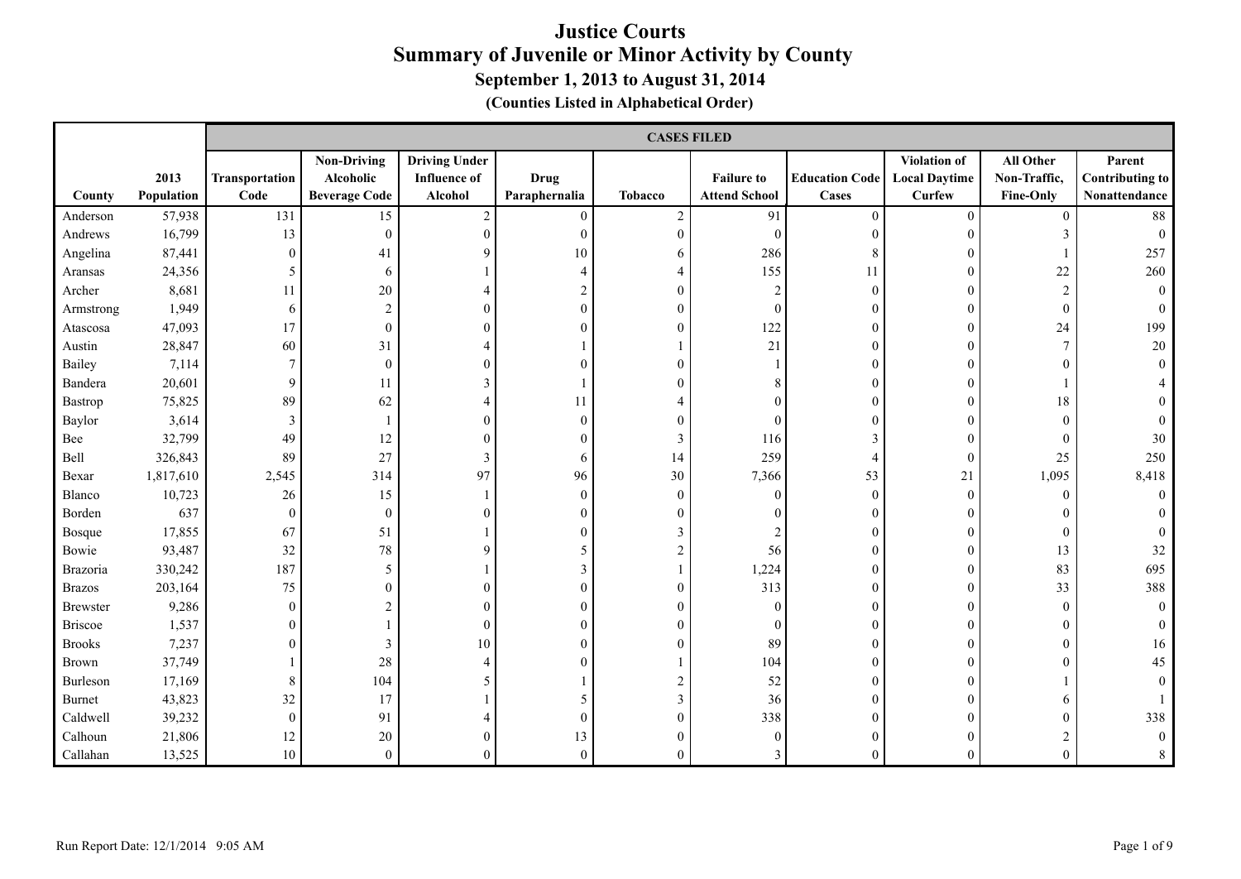|                 |                    |                        | <b>CASES FILED</b>                                      |                                                        |                              |                  |                                           |                                       |                                                |                                        |                                                   |
|-----------------|--------------------|------------------------|---------------------------------------------------------|--------------------------------------------------------|------------------------------|------------------|-------------------------------------------|---------------------------------------|------------------------------------------------|----------------------------------------|---------------------------------------------------|
| County          | 2013<br>Population | Transportation<br>Code | <b>Non-Driving</b><br>Alcoholic<br><b>Beverage Code</b> | <b>Driving Under</b><br><b>Influence of</b><br>Alcohol | <b>Drug</b><br>Paraphernalia | <b>Tobacco</b>   | <b>Failure to</b><br><b>Attend School</b> | <b>Education Code</b><br><b>Cases</b> | Violation of<br><b>Local Daytime</b><br>Curfew | All Other<br>Non-Traffic,<br>Fine-Only | Parent<br><b>Contributing to</b><br>Nonattendance |
| Anderson        | 57,938             | 131                    | 15                                                      | $\boldsymbol{2}$                                       | $\overline{0}$               | $\overline{c}$   | 91                                        | $\theta$                              | $\mathbf{0}$                                   | $\mathbf{0}$                           | 88                                                |
| Andrews         | 16,799             | 13                     | $\boldsymbol{0}$                                        | $\overline{0}$                                         | $\mathbf{0}$                 | $\mathbf{0}$     | $\theta$                                  | $\theta$                              | $\Omega$                                       | 3                                      | $\Omega$                                          |
| Angelina        | 87,441             | $\boldsymbol{0}$       | 41                                                      | 9                                                      | 10                           | 6                | 286                                       | 8                                     | $\Omega$                                       |                                        | 257                                               |
| Aransas         | 24,356             | 5                      | 6                                                       |                                                        | $\overline{4}$               | $\overline{4}$   | 155                                       | 11                                    | $\theta$                                       | 22                                     | 260                                               |
| Archer          | 8,681              | 11                     | 20                                                      | 4                                                      | 2                            | $\boldsymbol{0}$ | $\overline{2}$                            | $\mathbf{0}$                          | $\theta$                                       | $\overline{2}$                         | $\mathbf{0}$                                      |
| Armstrong       | 1,949              | 6                      | $\sqrt{2}$                                              | 0                                                      | $\theta$                     | $\boldsymbol{0}$ | $\mathbf{0}$                              | $\Omega$                              | $\theta$                                       | $\mathbf{0}$                           |                                                   |
| Atascosa        | 47,093             | 17                     | $\boldsymbol{0}$                                        |                                                        | $\theta$                     | $\boldsymbol{0}$ | 122                                       | $\overline{0}$                        | $\mathbf{0}$                                   | 24                                     | 199                                               |
| Austin          | 28,847             | 60                     | 31                                                      | 4                                                      |                              |                  | 21                                        | $\Omega$                              | $\theta$                                       | $\overline{7}$                         | 20                                                |
| Bailey          | 7,114              | $\overline{7}$         | $\theta$                                                | 0                                                      | $\theta$                     | $\mathbf{0}$     |                                           | $\Omega$                              | $\Omega$                                       | 0                                      |                                                   |
| Bandera         | 20,601             | 9                      | 11                                                      | 3                                                      |                              | $\theta$         |                                           |                                       | $\Omega$                                       |                                        |                                                   |
| Bastrop         | 75,825             | 89                     | 62                                                      | 4                                                      | 11                           | 4                |                                           |                                       | $\theta$                                       | 18                                     |                                                   |
| Baylor          | 3,614              | 3                      |                                                         | 0                                                      | $\mathbf{0}$                 | $\boldsymbol{0}$ |                                           |                                       | $\theta$                                       | $\mathbf{0}$                           |                                                   |
| Bee             | 32,799             | 49                     | 12                                                      | 0                                                      | $\theta$                     | 3                | 116                                       | $\mathbf{3}$                          | $\theta$                                       | $\mathbf{0}$                           | 30                                                |
| Bell            | 326,843            | 89                     | 27                                                      | 3                                                      | 6                            | 14               | 259                                       | 4                                     | $\theta$                                       | 25                                     | 250                                               |
| Bexar           | 1,817,610          | 2,545                  | 314                                                     | 97                                                     | 96                           | 30               | 7,366                                     | 53                                    | 21                                             | 1,095                                  | 8,418                                             |
| Blanco          | 10,723             | 26                     | 15                                                      |                                                        | $\theta$                     | $\mathbf{0}$     | $\theta$                                  | $\theta$                              | $\theta$                                       | $\theta$                               | $\theta$                                          |
| Borden          | 637                | $\boldsymbol{0}$       | $\boldsymbol{0}$                                        |                                                        | $\theta$                     | $\mathbf{0}$     |                                           | $\Omega$                              | $\Omega$                                       | 0                                      |                                                   |
| <b>Bosque</b>   | 17,855             | 67                     | 51                                                      |                                                        | $\theta$                     | $\overline{3}$   |                                           | $\Omega$                              | $\Omega$                                       | $\theta$                               |                                                   |
| Bowie           | 93,487             | 32                     | 78                                                      | 9                                                      | 5                            | $\overline{c}$   | 56                                        | $\Omega$                              | $\theta$                                       | 13                                     | 32                                                |
| Brazoria        | 330,242            | 187                    | $\sqrt{5}$                                              |                                                        | 3                            | 1                | 1,224                                     | $\theta$                              | $\mathbf{0}$                                   | 83                                     | 695                                               |
| <b>Brazos</b>   | 203,164            | 75                     | $\theta$                                                |                                                        | $\overline{0}$               | $\boldsymbol{0}$ | 313                                       | $\theta$                              | $\theta$                                       | 33                                     | 388                                               |
| <b>Brewster</b> | 9,286              | $\boldsymbol{0}$       | 2                                                       | 0                                                      | 0                            | $\mathbf{0}$     | $\Omega$                                  | $\Omega$                              | $\theta$                                       | $\theta$                               | $\Omega$                                          |
| <b>Briscoe</b>  | 1,537              | $\boldsymbol{0}$       |                                                         | $\theta$                                               | $\overline{0}$               | $\boldsymbol{0}$ | $\theta$                                  | $\Omega$                              | $\theta$                                       | $\theta$                               |                                                   |
| <b>Brooks</b>   | 7,237              | $\boldsymbol{0}$       | 3                                                       | 10                                                     | $\Omega$                     | $\mathbf{0}$     | 89                                        | $\Omega$                              | $\Omega$                                       | $\theta$                               | 16                                                |
| <b>Brown</b>    | 37,749             | $\mathbf{1}$           | 28                                                      | 4                                                      | $\Omega$                     |                  | 104                                       | $\Omega$                              | $\Omega$                                       | $\theta$                               | 45                                                |
| Burleson        | 17,169             | $8\,$                  | 104                                                     | 5                                                      |                              | $\overline{c}$   | 52                                        | $\Omega$                              | $\Omega$                                       |                                        |                                                   |
| <b>Burnet</b>   | 43,823             | 32                     | 17                                                      |                                                        | 5                            | $\mathfrak{Z}$   | 36                                        | $\theta$                              | $\Omega$                                       | 6                                      |                                                   |
| Caldwell        | 39,232             | $\mathbf{0}$           | 91                                                      |                                                        | $\overline{0}$               | $\mathbf{0}$     | 338                                       | $\Omega$                              | $\Omega$                                       | 0                                      | 338                                               |
| Calhoun         | 21,806             | 12                     | 20                                                      | $_{0}$                                                 | 13                           | $\mathbf{0}$     | $\theta$                                  | $\Omega$                              | $\Omega$                                       |                                        | $\Omega$                                          |
| Callahan        | 13,525             | $10\,$                 | $\boldsymbol{0}$                                        | 0                                                      | $\mathbf{0}$                 | $\mathbf{0}$     |                                           | $\Omega$                              | $\theta$                                       | $\theta$                               | 8                                                 |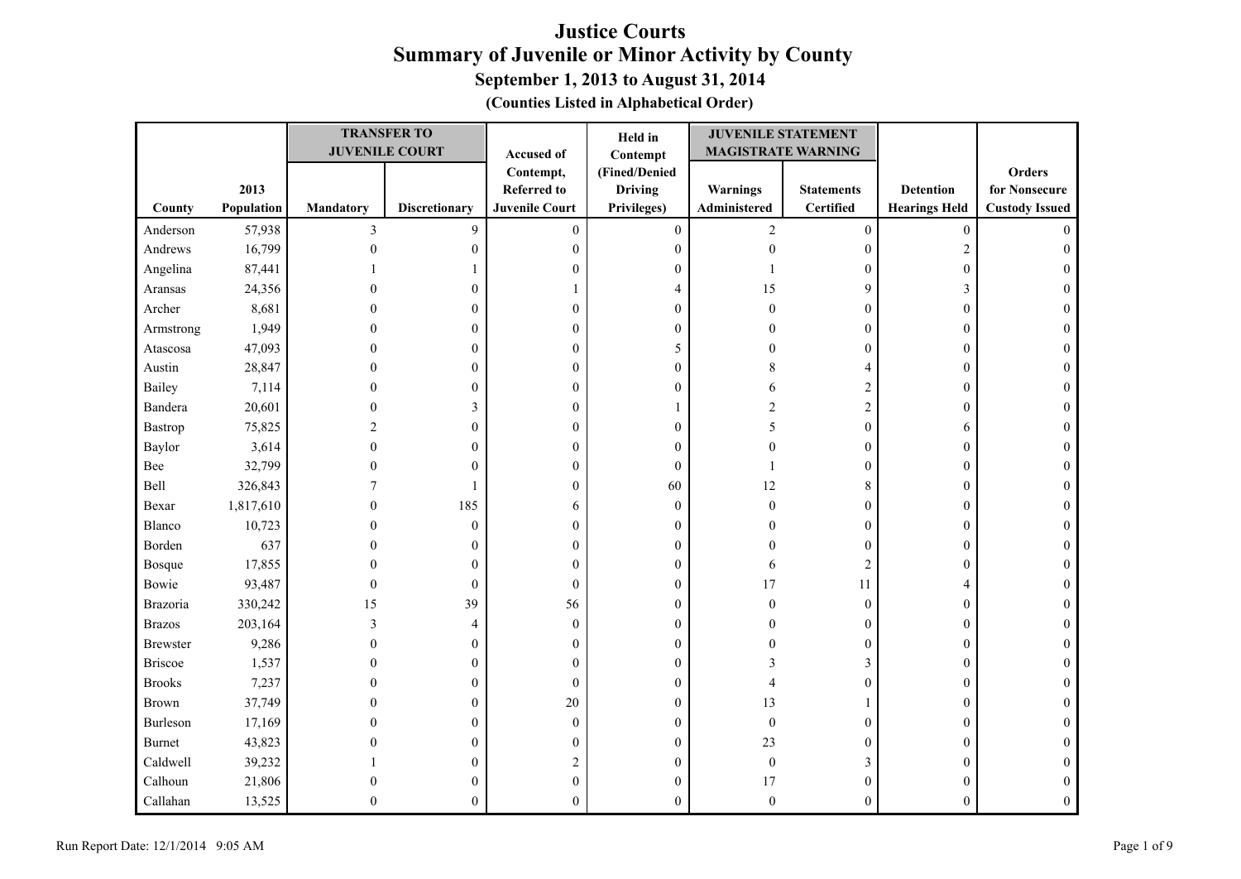| (Counties Listed in Alphabetical Order) |  |  |  |  |
|-----------------------------------------|--|--|--|--|
|-----------------------------------------|--|--|--|--|

|                 |            |                  | <b>TRANSFER TO</b>    |                       | Held in          | <b>JUVENILE STATEMENT</b> |                   |                      |                       |
|-----------------|------------|------------------|-----------------------|-----------------------|------------------|---------------------------|-------------------|----------------------|-----------------------|
|                 |            |                  | <b>JUVENILE COURT</b> | Accused of            | Contempt         | <b>MAGISTRATE WARNING</b> |                   |                      |                       |
|                 |            |                  |                       | Contempt,             | (Fined/Denied    |                           |                   |                      | Orders                |
|                 | 2013       |                  |                       | <b>Referred to</b>    | <b>Driving</b>   | Warnings                  | <b>Statements</b> | <b>Detention</b>     | for Nonsecure         |
| County          | Population | <b>Mandatory</b> | <b>Discretionary</b>  | <b>Juvenile Court</b> | Privileges)      | Administered              | <b>Certified</b>  | <b>Hearings Held</b> | <b>Custody Issued</b> |
| Anderson        | 57,938     | $\overline{3}$   | 9                     | $\boldsymbol{0}$      | $\boldsymbol{0}$ | $\sqrt{2}$                | $\boldsymbol{0}$  | $\boldsymbol{0}$     | $\Omega$              |
| Andrews         | 16,799     | $\mathbf{0}$     | $\boldsymbol{0}$      | $\mathbf{0}$          | $\boldsymbol{0}$ | $\boldsymbol{0}$          | $\boldsymbol{0}$  | $\overline{2}$       | $\Omega$              |
| Angelina        | 87,441     |                  |                       | 0                     | $\boldsymbol{0}$ |                           | $\boldsymbol{0}$  | $\boldsymbol{0}$     |                       |
| Aransas         | 24,356     | 0                | $\mathbf{0}$          |                       | 4                | 15                        | 9                 | 3                    | 0                     |
| Archer          | 8,681      | 0                | $\mathbf{0}$          | $\boldsymbol{0}$      | $\boldsymbol{0}$ | $\theta$                  | $\boldsymbol{0}$  | $\boldsymbol{0}$     | 0                     |
| Armstrong       | 1,949      | 0                | $\Omega$              | $\overline{0}$        | $\mathbf{0}$     |                           | $\boldsymbol{0}$  | $\boldsymbol{0}$     | 0                     |
| Atascosa        | 47,093     | 0                | 0                     | $\theta$              | 5                | 0                         | $\boldsymbol{0}$  | $\boldsymbol{0}$     | $\theta$              |
| Austin          | 28,847     | $\theta$         | $\theta$              | $\theta$              | $\boldsymbol{0}$ | 8                         | 4                 | $\boldsymbol{0}$     | $\theta$              |
| Bailey          | 7,114      | 0                | 0                     | 0                     | $\boldsymbol{0}$ | 6                         | $\sqrt{2}$        | $\boldsymbol{0}$     | $\Omega$              |
| Bandera         | 20,601     | 0                | 3                     | 0                     |                  | $\sqrt{2}$                | $\overline{c}$    | $\boldsymbol{0}$     |                       |
| Bastrop         | 75,825     | 2                | $\mathbf{0}$          | 0                     | $\boldsymbol{0}$ | 5                         | $\boldsymbol{0}$  | 6                    | 0                     |
| Baylor          | 3,614      | 0                | $\mathbf{0}$          | $\boldsymbol{0}$      | $\boldsymbol{0}$ |                           | $\boldsymbol{0}$  | $\boldsymbol{0}$     | 0                     |
| Bee             | 32,799     | 0                | $\theta$              | $\overline{0}$        | $\boldsymbol{0}$ |                           | $\boldsymbol{0}$  | $\boldsymbol{0}$     |                       |
| Bell            | 326,843    |                  |                       | $\mathbf{0}$          | 60               | 12                        | $\,$ 8 $\,$       | $\boldsymbol{0}$     | $\Omega$              |
| Bexar           | 1,817,610  | $\mathbf{0}$     | 185                   | 6                     | $\mathbf{0}$     | $\boldsymbol{0}$          | $\boldsymbol{0}$  | $\boldsymbol{0}$     | 0                     |
| Blanco          | 10,723     | $\theta$         | $\overline{0}$        | $\boldsymbol{0}$      | $\boldsymbol{0}$ | $\Omega$                  | $\boldsymbol{0}$  | $\boldsymbol{0}$     |                       |
| Borden          | 637        | 0                | $\mathbf{0}$          | $\boldsymbol{0}$      | $\boldsymbol{0}$ | $\Omega$                  | $\boldsymbol{0}$  | $\boldsymbol{0}$     |                       |
| Bosque          | 17,855     | 0                | $\mathbf{0}$          | $\mathbf{0}$          | $\boldsymbol{0}$ | 6                         | $\overline{c}$    | $\boldsymbol{0}$     |                       |
| Bowie           | 93,487     | 0                | $\mathbf{0}$          | $\theta$              | $\mathbf{0}$     | 17                        | 11                | 4                    | 0                     |
| Brazoria        | 330,242    | 15               | 39                    | 56                    | $\boldsymbol{0}$ | $\theta$                  | $\boldsymbol{0}$  | $\boldsymbol{0}$     | 0                     |
| <b>Brazos</b>   | 203,164    | $\mathfrak{Z}$   | 4                     | $\mathbf{0}$          | $\boldsymbol{0}$ | 0                         | $\boldsymbol{0}$  | $\boldsymbol{0}$     | $\theta$              |
| <b>Brewster</b> | 9,286      | $\theta$         | $\mathbf{0}$          | $\mathbf{0}$          | $\mathbf{0}$     | 0                         | $\boldsymbol{0}$  | $\boldsymbol{0}$     | $\Omega$              |
| <b>Briscoe</b>  | 1,537      | 0                | 0                     | $\theta$              | $\mathbf{0}$     | 3                         | 3                 | $\boldsymbol{0}$     |                       |
| <b>Brooks</b>   | 7,237      | 0                | $\overline{0}$        | $\boldsymbol{0}$      | $\boldsymbol{0}$ |                           | $\boldsymbol{0}$  | $\boldsymbol{0}$     | $\Omega$              |
| Brown           | 37,749     | 0                | $\overline{0}$        | 20                    | $\boldsymbol{0}$ | 13                        | $\mathbf{1}$      | $\boldsymbol{0}$     |                       |
| Burleson        | 17,169     | 0                | $\Omega$              | $\theta$              | $\mathbf{0}$     | $\boldsymbol{0}$          | $\boldsymbol{0}$  | $\boldsymbol{0}$     | 0                     |
| Burnet          | 43,823     | O                | 0                     | $\theta$              | $\mathbf{0}$     | 23                        | $\boldsymbol{0}$  | $\theta$             |                       |
| Caldwell        | 39,232     |                  | $\mathbf{0}$          | $\overline{c}$        | $\boldsymbol{0}$ | $\boldsymbol{0}$          | $\mathfrak{Z}$    | $\boldsymbol{0}$     | 0                     |
| Calhoun         | 21,806     | $\theta$         | $\mathbf{0}$          | $\mathbf{0}$          | $\mathbf{0}$     | 17                        | $\boldsymbol{0}$  | $\boldsymbol{0}$     |                       |
| Callahan        | 13,525     | 0                | 0                     | $\Omega$              | $\mathbf{0}$     | $\mathbf{0}$              | $\boldsymbol{0}$  | $\mathbf{0}$         |                       |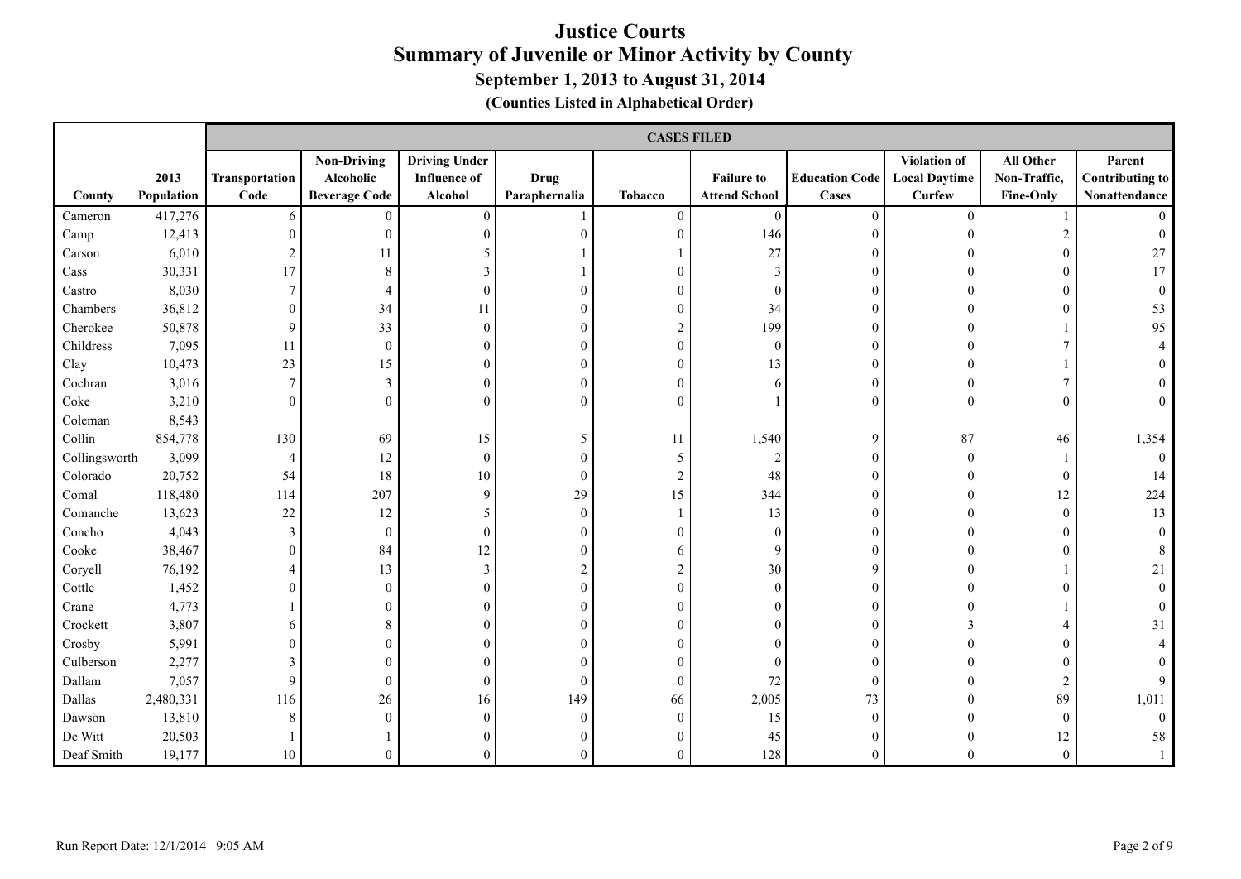|               |                    |                        | <b>CASES FILED</b>                                      |                                                        |                              |                |                                           |                                |                                                |                                               |                                                   |
|---------------|--------------------|------------------------|---------------------------------------------------------|--------------------------------------------------------|------------------------------|----------------|-------------------------------------------|--------------------------------|------------------------------------------------|-----------------------------------------------|---------------------------------------------------|
| County        | 2013<br>Population | Transportation<br>Code | <b>Non-Driving</b><br>Alcoholic<br><b>Beverage Code</b> | <b>Driving Under</b><br><b>Influence of</b><br>Alcohol | <b>Drug</b><br>Paraphernalia | <b>Tobacco</b> | <b>Failure to</b><br><b>Attend School</b> | <b>Education Code</b><br>Cases | Violation of<br><b>Local Daytime</b><br>Curfew | All Other<br>Non-Traffic,<br><b>Fine-Only</b> | Parent<br><b>Contributing to</b><br>Nonattendance |
| Cameron       | 417,276            | 6                      | $\mathbf{0}$                                            | $\boldsymbol{0}$                                       |                              | $\theta$       | $\overline{0}$                            | $\theta$                       | $\theta$                                       |                                               |                                                   |
| Camp          | 12,413             | $\theta$               | $\mathbf{0}$                                            | $\overline{0}$                                         | ∩                            | $\Omega$       | 146                                       | $\Omega$                       | $\Omega$                                       | $\overline{2}$                                |                                                   |
| Carson        | 6,010              | 2                      | 11                                                      | 5                                                      |                              |                | 27                                        | $\mathbf{0}$                   |                                                |                                               | 27                                                |
| Cass          | 30,331             | 17                     | 8                                                       | 3                                                      |                              | $\theta$       | 3                                         |                                |                                                |                                               | 17                                                |
| Castro        | 8,030              | 7                      | $\overline{4}$                                          | $\overline{0}$                                         |                              | $\theta$       | $\Omega$                                  | 0                              |                                                | 0                                             |                                                   |
| Chambers      | 36,812             | 0                      | 34                                                      | 11                                                     |                              | $\theta$       | 34                                        | $\theta$                       | $\Omega$                                       | 0                                             | 53                                                |
| Cherokee      | 50,878             | 9                      | 33                                                      | $\mathbf{0}$                                           |                              | 2              | 199                                       | 0                              | $\Omega$                                       |                                               | 95                                                |
| Childress     | 7,095              | 11                     | $\bf{0}$                                                | $\theta$                                               |                              | $\Omega$       | $\theta$                                  |                                | ∩                                              |                                               |                                                   |
| Clay          | 10,473             | $23\,$                 | 15                                                      | 0                                                      |                              | $\theta$       | 13                                        | 0                              |                                                |                                               |                                                   |
| Cochran       | 3,016              | $\tau$                 | $\mathfrak{Z}$                                          | $\theta$                                               |                              | $\theta$       |                                           | 0                              | $\Omega$                                       | 7                                             |                                                   |
| Coke          | 3,210              | $\theta$               | $\mathbf{0}$                                            | $\theta$                                               |                              | $\Omega$       |                                           | 0                              | $\Omega$                                       | $\Omega$                                      |                                                   |
| Coleman       | 8,543              |                        |                                                         |                                                        |                              |                |                                           |                                |                                                |                                               |                                                   |
| Collin        | 854,778            | 130                    | 69                                                      | 15                                                     | 5                            | 11             | 1,540                                     | 9                              | 87                                             | $46\,$                                        | 1,354                                             |
| Collingsworth | 3,099              | 4                      | 12                                                      | $\mathbf{0}$                                           |                              | 5              | $\mathcal{D}$                             | $\Omega$                       | $\Omega$                                       |                                               |                                                   |
| Colorado      | 20,752             | 54                     | 18                                                      | 10                                                     | $\boldsymbol{0}$             | 2              | 48                                        | 0                              |                                                | $\boldsymbol{0}$                              | 14                                                |
| Comal         | 118,480            | 114                    | 207                                                     | 9                                                      | 29                           | 15             | 344                                       | 0                              |                                                | 12                                            | 224                                               |
| Comanche      | 13,623             | $22\,$                 | 12                                                      | 5                                                      | $\Omega$                     |                | 13                                        | 0                              | ∩                                              | $\theta$                                      | 13                                                |
| Concho        | 4,043              | $\mathfrak{Z}$         | $\mathbf{0}$                                            | $\boldsymbol{0}$                                       |                              |                | $\Omega$                                  |                                |                                                | 0                                             |                                                   |
| Cooke         | 38,467             | $\boldsymbol{0}$       | 84                                                      | 12                                                     |                              | 6              | 9                                         | 0                              | $\Omega$                                       | $\theta$                                      |                                                   |
| Coryell       | 76,192             | 4                      | 13                                                      | 3                                                      |                              | $\overline{c}$ | 30                                        | Q                              | $\Omega$                                       |                                               | 21                                                |
| Cottle        | 1,452              | $\overline{0}$         | $\bf{0}$                                                | $\mathbf{0}$                                           |                              | $\theta$       | $\theta$                                  | 0                              |                                                | 0                                             |                                                   |
| Crane         | 4,773              |                        | $\mathbf{0}$                                            | $\theta$                                               |                              | $\theta$       |                                           |                                | $\Omega$                                       |                                               |                                                   |
| Crockett      | 3,807              | 6                      | 8                                                       | 0                                                      |                              | $\Omega$       |                                           |                                | $\mathcal{R}$                                  | 4                                             | 31                                                |
| Crosby        | 5,991              | $\overline{0}$         | $\theta$                                                | 0                                                      |                              | $\Omega$       |                                           |                                | $\Omega$                                       | 0                                             |                                                   |
| Culberson     | 2,277              | 3                      | $\overline{0}$                                          | $\theta$                                               |                              |                |                                           |                                |                                                | $\theta$                                      |                                                   |
| Dallam        | 7,057              | 9                      | $\mathbf{0}$                                            | $\overline{0}$                                         | $\theta$                     | $\Omega$       | 72                                        | $\Omega$                       |                                                | $\overline{2}$                                |                                                   |
| Dallas        | 2,480,331          | 116                    | 26                                                      | 16                                                     | 149                          | 66             | 2,005                                     | 73                             |                                                | 89                                            | 1,011                                             |
| Dawson        | 13,810             | 8                      | $\mathbf{0}$                                            | $\overline{0}$                                         | $\Omega$                     | $\theta$       | 15                                        | $\Omega$                       |                                                | $\mathbf{0}$                                  |                                                   |
| De Witt       | 20,503             |                        |                                                         | 0                                                      |                              | $\Omega$       | 45                                        |                                |                                                | 12                                            | 58                                                |
| Deaf Smith    | 19,177             | $10\,$                 | $\boldsymbol{0}$                                        | 0                                                      | 0                            | $\Omega$       | 128                                       | 0                              |                                                | $\mathbf{0}$                                  |                                                   |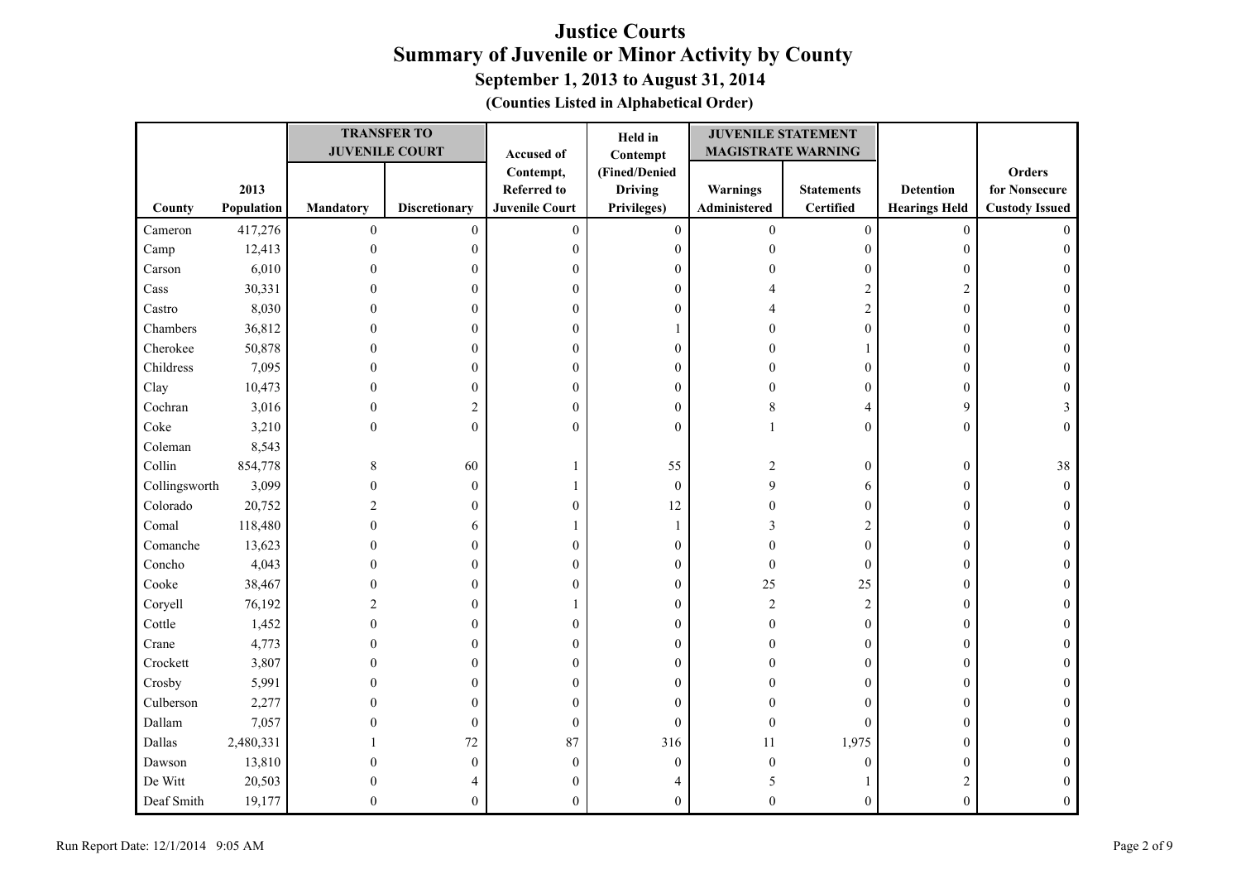| (Counties Listed in Alphabetical Order) |  |  |  |  |
|-----------------------------------------|--|--|--|--|
|-----------------------------------------|--|--|--|--|

|               |            |                  | <b>TRANSFER TO</b>    |                       | Held in          | <b>JUVENILE STATEMENT</b> |                   |                      |                       |
|---------------|------------|------------------|-----------------------|-----------------------|------------------|---------------------------|-------------------|----------------------|-----------------------|
|               |            |                  | <b>JUVENILE COURT</b> | Accused of            | Contempt         | <b>MAGISTRATE WARNING</b> |                   |                      |                       |
|               |            |                  |                       | Contempt,             | (Fined/Denied    |                           |                   |                      | <b>Orders</b>         |
|               | 2013       |                  |                       | <b>Referred to</b>    | <b>Driving</b>   | Warnings                  | <b>Statements</b> | <b>Detention</b>     | for Nonsecure         |
| County        | Population | <b>Mandatory</b> | <b>Discretionary</b>  | <b>Juvenile Court</b> | Privileges)      | Administered              | <b>Certified</b>  | <b>Hearings Held</b> | <b>Custody Issued</b> |
| Cameron       | 417,276    | $\boldsymbol{0}$ | $\boldsymbol{0}$      | $\boldsymbol{0}$      | $\boldsymbol{0}$ | $\boldsymbol{0}$          | $\boldsymbol{0}$  | $\boldsymbol{0}$     | $\Omega$              |
| Camp          | 12,413     | $\mathbf{0}$     | $\overline{0}$        | $\mathbf{0}$          | $\boldsymbol{0}$ | $\theta$                  | $\boldsymbol{0}$  | $\mathbf{0}$         | $\Omega$              |
| Carson        | 6,010      | $\Omega$         | $\mathbf{0}$          | $\mathbf{0}$          | $\mathbf{0}$     |                           | $\boldsymbol{0}$  | $\boldsymbol{0}$     |                       |
| Cass          | 30,331     | 0                | $\Omega$              | $\overline{0}$        | $\mathbf{0}$     |                           | $\mathbf{2}$      | $\overline{c}$       |                       |
| Castro        | 8,030      | 0                | $\mathbf{0}$          | $\boldsymbol{0}$      | $\mathbf{0}$     |                           | $\sqrt{2}$        | $\boldsymbol{0}$     | 0                     |
| Chambers      | 36,812     | 0                | $\Omega$              | $\overline{0}$        |                  |                           | $\boldsymbol{0}$  | $\mathbf{0}$         | 0                     |
| Cherokee      | 50,878     | 0                | 0                     | $\theta$              | $\mathbf{0}$     |                           | 1                 | $\mathbf{0}$         | 0                     |
| Childress     | 7,095      | $\theta$         | 0                     | $\theta$              | $\theta$         |                           | $\boldsymbol{0}$  | $\boldsymbol{0}$     | $\Omega$              |
| Clay          | 10,473     | $\theta$         | 0                     | $\boldsymbol{0}$      | $\mathbf{0}$     | $\Omega$                  | $\boldsymbol{0}$  | $\boldsymbol{0}$     | $\mathbf{0}$          |
| Cochran       | 3,016      | $\overline{0}$   | 2                     | $\theta$              | $\boldsymbol{0}$ | 8                         | 4                 | 9                    | 3                     |
| Coke          | 3,210      | 0                | $\theta$              | $\Omega$              | $\theta$         |                           | $\boldsymbol{0}$  | $\boldsymbol{0}$     | $\theta$              |
| Coleman       | 8,543      |                  |                       |                       |                  |                           |                   |                      |                       |
| Collin        | 854,778    | 8                | 60                    |                       | 55               | 2                         | $\boldsymbol{0}$  | $\boldsymbol{0}$     | 38                    |
| Collingsworth | 3,099      | $\theta$         | $\mathbf{0}$          |                       | $\mathbf{0}$     | 9                         | 6                 | $\boldsymbol{0}$     | $\theta$              |
| Colorado      | 20,752     | $\overline{c}$   | $\boldsymbol{0}$      | $\theta$              | 12               |                           | $\boldsymbol{0}$  | $\boldsymbol{0}$     | $\Omega$              |
| Comal         | 118,480    | $\overline{0}$   | 6                     |                       | 1                | 3                         | $\overline{c}$    | $\boldsymbol{0}$     |                       |
| Comanche      | 13,623     | $\overline{0}$   | $\mathbf{0}$          | $\mathbf{0}$          | $\boldsymbol{0}$ | $\Omega$                  | $\boldsymbol{0}$  | $\boldsymbol{0}$     |                       |
| Concho        | 4,043      | 0                | $\overline{0}$        | $\mathbf{0}$          | $\mathbf{0}$     | $\theta$                  | $\boldsymbol{0}$  | $\boldsymbol{0}$     |                       |
| Cooke         | 38,467     | 0                | $\mathbf{0}$          | $\mathbf{0}$          | $\mathbf{0}$     | 25                        | 25                | $\mathbf{0}$         | 0                     |
| Coryell       | 76,192     | 2                | $\boldsymbol{0}$      |                       | $\boldsymbol{0}$ | $\overline{c}$            | $\sqrt{2}$        | $\boldsymbol{0}$     |                       |
| Cottle        | 1,452      | $\theta$         | $\theta$              | $\theta$              | $\mathbf{0}$     | $\Omega$                  | $\boldsymbol{0}$  | $\boldsymbol{0}$     | 0                     |
| Crane         | 4,773      | $\theta$         | $\theta$              | $\theta$              | $\mathbf{0}$     | $\Omega$                  | $\boldsymbol{0}$  | $\boldsymbol{0}$     | 0                     |
| Crockett      | 3,807      | O                | 0                     | $\theta$              | 0                | $\Omega$                  | $\boldsymbol{0}$  | $\boldsymbol{0}$     |                       |
| Crosby        | 5,991      | 0                | 0                     | $\boldsymbol{0}$      | $\overline{0}$   |                           | $\boldsymbol{0}$  | $\boldsymbol{0}$     | 0                     |
| Culberson     | 2,277      | 0                | $\mathbf{0}$          | $\overline{0}$        | $\mathbf{0}$     |                           | $\boldsymbol{0}$  | $\boldsymbol{0}$     |                       |
| Dallam        | 7,057      | 0                | $\boldsymbol{0}$      | $\overline{0}$        | $\mathbf{0}$     | $\mathbf{0}$              | $\overline{0}$    | $\mathbf{0}$         |                       |
| Dallas        | 2,480,331  |                  | 72                    | 87                    | 316              | 11                        | 1,975             | $\mathbf{0}$         |                       |
| Dawson        | 13,810     | 0                | $\mathbf{0}$          | $\theta$              | $\mathbf{0}$     | $\mathbf{0}$              | $\boldsymbol{0}$  | $\boldsymbol{0}$     |                       |
| De Witt       | 20,503     | 0                |                       | $\Omega$              |                  |                           |                   | $\overline{2}$       |                       |
| Deaf Smith    | 19,177     | 0                | $\theta$              | $\Omega$              | $\mathbf{0}$     | $\Omega$                  | $\overline{0}$    | $\mathbf{0}$         |                       |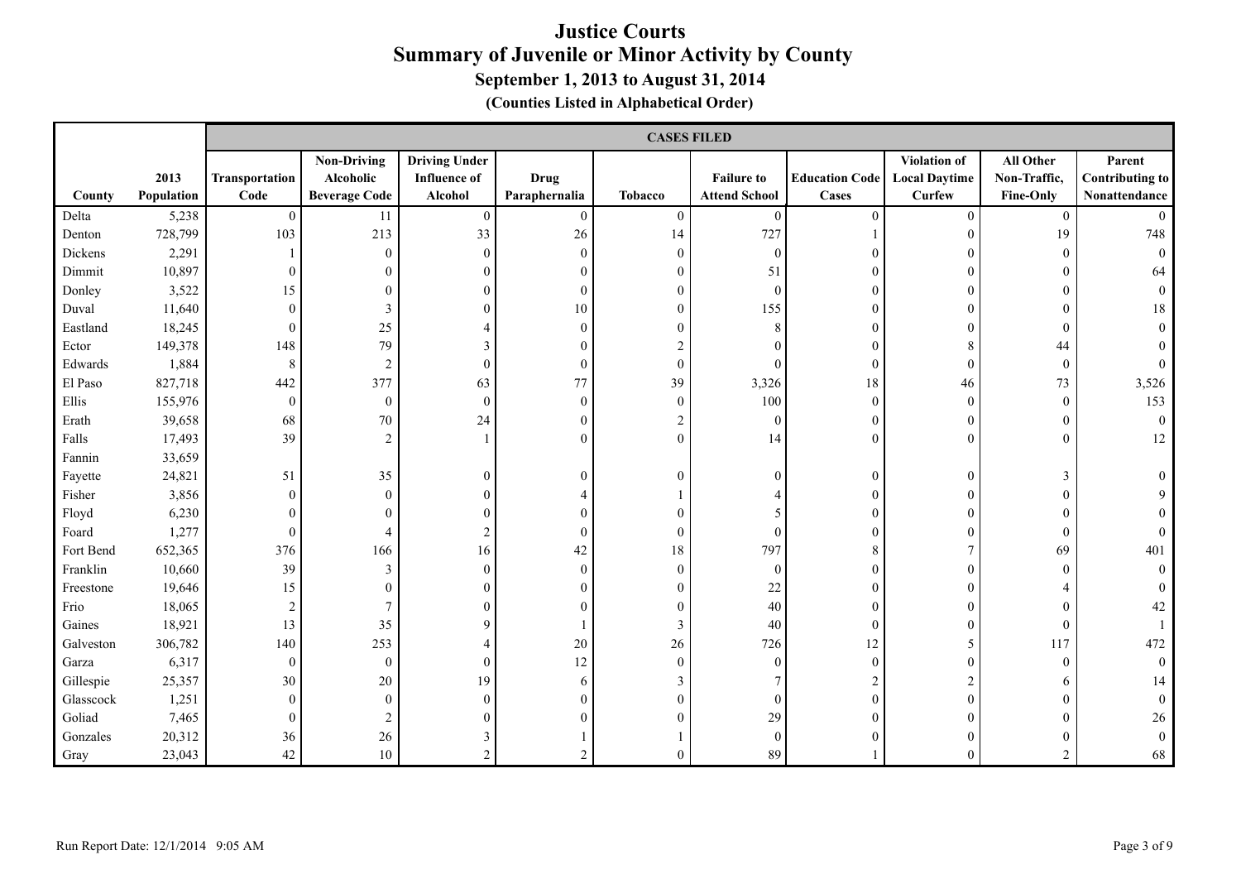|           |                    |                        | <b>CASES FILED</b>                                      |                                                        |                              |                |                                           |                                       |                                                |                                               |                                                   |
|-----------|--------------------|------------------------|---------------------------------------------------------|--------------------------------------------------------|------------------------------|----------------|-------------------------------------------|---------------------------------------|------------------------------------------------|-----------------------------------------------|---------------------------------------------------|
| County    | 2013<br>Population | Transportation<br>Code | <b>Non-Driving</b><br>Alcoholic<br><b>Beverage Code</b> | <b>Driving Under</b><br><b>Influence of</b><br>Alcohol | <b>Drug</b><br>Paraphernalia | <b>Tobacco</b> | <b>Failure to</b><br><b>Attend School</b> | <b>Education Code</b><br><b>Cases</b> | Violation of<br><b>Local Daytime</b><br>Curfew | All Other<br>Non-Traffic,<br><b>Fine-Only</b> | Parent<br><b>Contributing to</b><br>Nonattendance |
| Delta     | 5,238              | $\mathbf{0}$           | 11                                                      | $\mathbf{0}$                                           | $\mathbf{0}$                 | $\mathbf{0}$   | $\boldsymbol{0}$                          | $\theta$                              | $\theta$                                       | $\mathbf{0}$                                  |                                                   |
| Denton    | 728,799            | 103                    | 213                                                     | 33                                                     | 26                           | 14             | 727                                       |                                       | $\Omega$                                       | 19                                            | 748                                               |
| Dickens   | 2,291              |                        | $\boldsymbol{0}$                                        | $\overline{0}$                                         | $\theta$                     | $\Omega$       | $\theta$                                  | $\Omega$                              | $\Omega$                                       | $\theta$                                      | $\Omega$                                          |
| Dimmit    | 10,897             | $\overline{0}$         | $\mathbf{0}$                                            | $\theta$                                               | $\theta$                     | $\Omega$       | 51                                        | 0                                     | $\Omega$                                       | 0                                             | 64                                                |
| Donley    | 3,522              | 15                     | $\theta$                                                | $\theta$                                               | $\mathbf{0}$                 | $\mathbf{0}$   | $\boldsymbol{0}$                          | $\theta$                              | $\Omega$                                       | $\mathbf{0}$                                  |                                                   |
| Duval     | 11,640             | $\boldsymbol{0}$       | $\mathfrak{Z}$                                          | $\theta$                                               | $10\,$                       | $\theta$       | 155                                       | $\theta$                              | $\Omega$                                       | $\theta$                                      | 18                                                |
| Eastland  | 18,245             | $\overline{0}$         | 25                                                      | 4                                                      | $\theta$                     | $\Omega$       | 8                                         | 0                                     | ∩                                              | $\overline{0}$                                |                                                   |
| Ector     | 149,378            | 148                    | 79                                                      | 3                                                      | $\theta$                     | 2              |                                           | $\Omega$                              | 8                                              | 44                                            |                                                   |
| Edwards   | 1,884              | $\,8\,$                | $\sqrt{2}$                                              | $\theta$                                               | $\overline{0}$               | $\theta$       |                                           | $\theta$                              | $\theta$                                       | $\boldsymbol{0}$                              |                                                   |
| El Paso   | 827,718            | 442                    | 377                                                     | 63                                                     | 77                           | 39             | 3,326                                     | 18                                    | 46                                             | 73                                            | 3,526                                             |
| Ellis     | 155,976            | $\mathbf{0}$           | $\boldsymbol{0}$                                        | $\mathbf{0}$                                           | $\mathbf{0}$                 | $\mathbf{0}$   | 100                                       | $\theta$                              | $\theta$                                       | $\mathbf{0}$                                  | 153                                               |
| Erath     | 39,658             | 68                     | $70\,$                                                  | 24                                                     | $\boldsymbol{0}$             | $\overline{c}$ | $\boldsymbol{0}$                          | $\mathbf{0}$                          | $\overline{0}$                                 | $\boldsymbol{0}$                              | $\theta$                                          |
| Falls     | 17,493             | 39                     | $\sqrt{2}$                                              |                                                        | $\theta$                     | $\theta$       | 14                                        | $\theta$                              | $\Omega$                                       | $\theta$                                      | 12                                                |
| Fannin    | 33,659             |                        |                                                         |                                                        |                              |                |                                           |                                       |                                                |                                               |                                                   |
| Fayette   | 24,821             | 51                     | 35                                                      | $\theta$                                               | $\mathbf{0}$                 | $\theta$       | $\Omega$                                  | $\theta$                              | $\overline{0}$                                 | 3                                             |                                                   |
| Fisher    | 3,856              | $\boldsymbol{0}$       | $\boldsymbol{0}$                                        | $\theta$                                               |                              |                |                                           | 0                                     | $\Omega$                                       | $\theta$                                      |                                                   |
| Floyd     | 6,230              | $\overline{0}$         | $\theta$                                                | $\Omega$                                               | $\Omega$                     | $\Omega$       |                                           | $\Omega$                              | $\Omega$                                       | $\theta$                                      |                                                   |
| Foard     | 1,277              | $\mathbf{0}$           | $\overline{4}$                                          | $\overline{c}$                                         | $\theta$                     | $\Omega$       | $\Omega$                                  |                                       | $\Omega$                                       | $\mathbf{0}$                                  |                                                   |
| Fort Bend | 652,365            | 376                    | 166                                                     | 16                                                     | 42                           | 18             | 797                                       | 8                                     |                                                | 69                                            | 401                                               |
| Franklin  | 10,660             | 39                     | $\mathfrak{Z}$                                          | $\mathbf{0}$                                           | $\mathbf{0}$                 | $\theta$       | $\theta$                                  | $\Omega$                              | $\Omega$                                       | $\theta$                                      |                                                   |
| Freestone | 19,646             | 15                     | $\mathbf{0}$                                            | $\theta$                                               | $\theta$                     | $\theta$       | 22                                        | 0                                     | $\Omega$                                       |                                               |                                                   |
| Frio      | 18,065             | 2                      | 7                                                       | $\theta$                                               | $\theta$                     | $\mathbf{0}$   | 40                                        | $\Omega$                              | $\Omega$                                       | 0                                             | 42                                                |
| Gaines    | 18,921             | 13                     | 35                                                      | 9                                                      |                              | 3              | 40                                        | $\theta$                              | $\Omega$                                       | $\mathbf{0}$                                  |                                                   |
| Galveston | 306,782            | 140                    | 253                                                     | $\overline{4}$                                         | 20                           | 26             | 726                                       | 12                                    | 5                                              | 117                                           | 472                                               |
| Garza     | 6,317              | $\boldsymbol{0}$       | $\bf{0}$                                                | $\mathbf{0}$                                           | 12                           | $\theta$       | $\Omega$                                  | $\Omega$                              | $\Omega$                                       | $\theta$                                      |                                                   |
| Gillespie | 25,357             | $30\,$                 | $20\,$                                                  | 19                                                     | 6                            | 3              |                                           |                                       | $\mathfrak{D}$                                 | 6                                             | 14                                                |
| Glasscock | 1,251              | $\overline{0}$         | $\mathbf{0}$                                            | $\mathbf{0}$                                           | $\Omega$                     | $\theta$       | $\mathbf{0}$                              | $\Omega$                              | $\Omega$                                       |                                               |                                                   |
| Goliad    | 7,465              | $\overline{0}$         | $\overline{2}$                                          | 0                                                      |                              | $\Omega$       | 29                                        | 0                                     |                                                |                                               | 26                                                |
| Gonzales  | 20,312             | 36                     | $26\,$                                                  | 3                                                      |                              |                | $\mathbf{0}$                              |                                       | $\Omega$                                       | 0                                             |                                                   |
| Gray      | 23,043             | 42                     | 10                                                      | $\overline{c}$                                         | $\overline{2}$               |                | 89                                        |                                       | $\Omega$                                       | $\overline{2}$                                | 68                                                |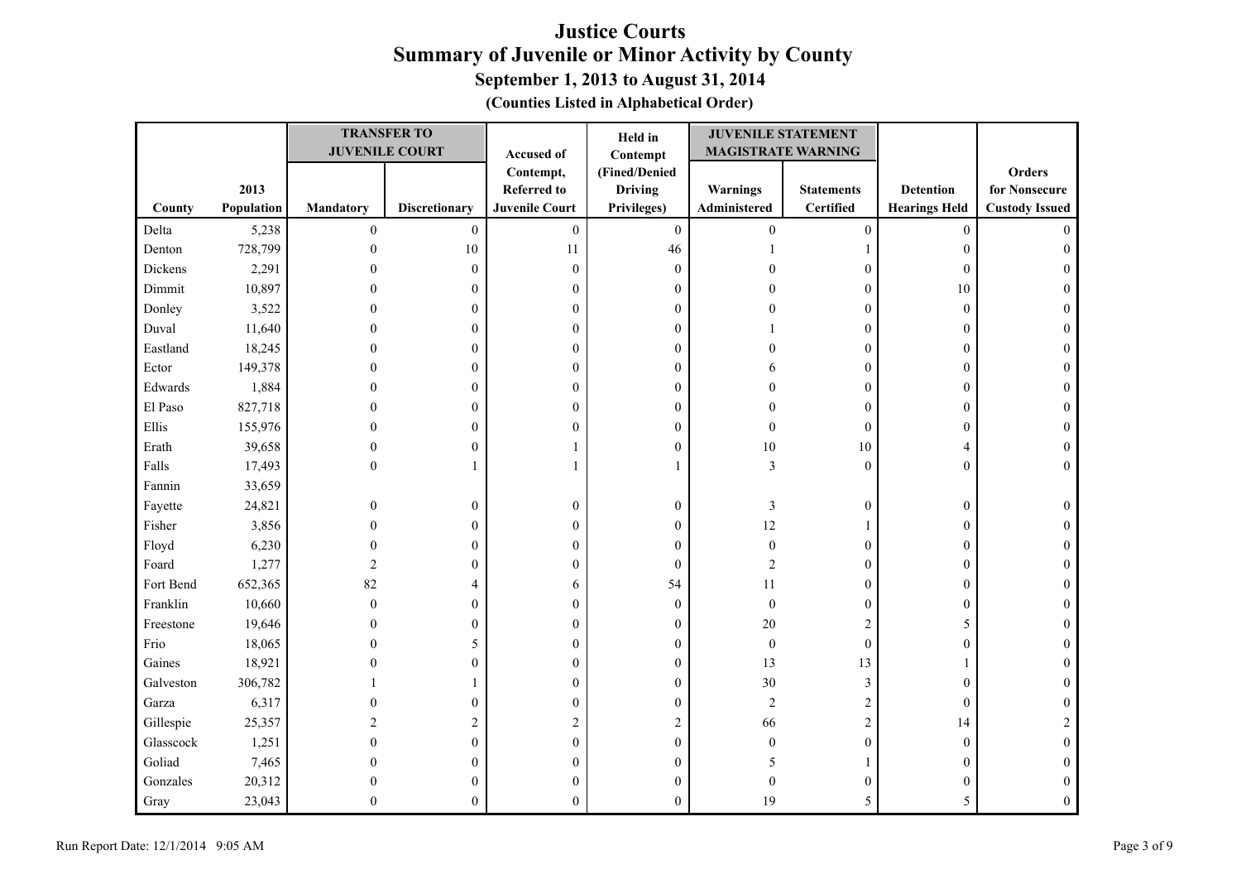| (Counties Listed in Alphabetical Order) |  |  |  |  |
|-----------------------------------------|--|--|--|--|
|-----------------------------------------|--|--|--|--|

|           |            |                  | <b>TRANSFER TO</b>    |                       | Held in          | <b>JUVENILE STATEMENT</b> |                   |                      |                       |
|-----------|------------|------------------|-----------------------|-----------------------|------------------|---------------------------|-------------------|----------------------|-----------------------|
|           |            |                  | <b>JUVENILE COURT</b> | Accused of            | Contempt         | <b>MAGISTRATE WARNING</b> |                   |                      |                       |
|           |            |                  |                       | Contempt,             | (Fined/Denied    |                           |                   |                      | Orders                |
|           | 2013       |                  |                       | <b>Referred to</b>    | <b>Driving</b>   | Warnings                  | <b>Statements</b> | <b>Detention</b>     | for Nonsecure         |
| County    | Population | <b>Mandatory</b> | <b>Discretionary</b>  | <b>Juvenile Court</b> | Privileges)      | Administered              | <b>Certified</b>  | <b>Hearings Held</b> | <b>Custody Issued</b> |
| Delta     | 5,238      | $\boldsymbol{0}$ | $\boldsymbol{0}$      | $\boldsymbol{0}$      | $\boldsymbol{0}$ | $\boldsymbol{0}$          | $\boldsymbol{0}$  | $\boldsymbol{0}$     | $\Omega$              |
| Denton    | 728,799    | $\mathbf{0}$     | 10                    | 11                    | 46               |                           | $\mathbf{1}$      | $\boldsymbol{0}$     | $\theta$              |
| Dickens   | 2,291      | $\Omega$         | $\mathbf{0}$          | $\boldsymbol{0}$      | $\boldsymbol{0}$ |                           | $\boldsymbol{0}$  | $\boldsymbol{0}$     |                       |
| Dimmit    | 10,897     | $\theta$         | $\boldsymbol{0}$      | $\overline{0}$        | $\mathbf{0}$     |                           | $\boldsymbol{0}$  | $10\,$               | 0                     |
| Donley    | 3,522      | 0                | $\boldsymbol{0}$      | $\boldsymbol{0}$      | $\boldsymbol{0}$ |                           | $\boldsymbol{0}$  | $\boldsymbol{0}$     | 0                     |
| Duval     | 11,640     | 0                | $\Omega$              | $\overline{0}$        | $\mathbf{0}$     |                           | $\boldsymbol{0}$  | $\boldsymbol{0}$     | $\Omega$              |
| Eastland  | 18,245     | 0                | 0                     | $\theta$              | $\mathbf{0}$     |                           | $\boldsymbol{0}$  | $\boldsymbol{0}$     | $\theta$              |
| Ector     | 149,378    | $\theta$         | $\theta$              | $\theta$              | $\boldsymbol{0}$ |                           | $\boldsymbol{0}$  | $\boldsymbol{0}$     | $\Omega$              |
| Edwards   | 1,884      | $\theta$         | 0                     | $\boldsymbol{0}$      | $\boldsymbol{0}$ | $\Omega$                  | $\boldsymbol{0}$  | $\boldsymbol{0}$     | $\mathbf{0}$          |
| El Paso   | 827,718    | $\overline{0}$   | $\overline{0}$        | $\mathbf{0}$          | $\boldsymbol{0}$ | $\Omega$                  | $\boldsymbol{0}$  | $\boldsymbol{0}$     | $\Omega$              |
| Ellis     | 155,976    | 0                | $\mathbf{0}$          | $\theta$              | $\mathbf{0}$     | $\mathbf{0}$              | $\boldsymbol{0}$  | $\boldsymbol{0}$     | $\Omega$              |
| Erath     | 39,658     | 0                | $\mathbf{0}$          |                       | $\boldsymbol{0}$ | $10\,$                    | 10                | 4                    | $\mathbf{0}$          |
| Falls     | 17,493     | $\theta$         |                       |                       |                  | 3                         | $\boldsymbol{0}$  | $\boldsymbol{0}$     | $\theta$              |
| Fannin    | 33,659     |                  |                       |                       |                  |                           |                   |                      |                       |
| Fayette   | 24,821     | $\theta$         | $\boldsymbol{0}$      | $\theta$              | $\boldsymbol{0}$ | 3                         | $\boldsymbol{0}$  | $\boldsymbol{0}$     | $\Omega$              |
| Fisher    | 3,856      | $\theta$         | $\boldsymbol{0}$      | $\boldsymbol{0}$      | $\boldsymbol{0}$ | 12                        | $\mathbf{1}$      | $\boldsymbol{0}$     |                       |
| Floyd     | 6,230      | 0                | $\mathbf{0}$          | $\boldsymbol{0}$      | $\boldsymbol{0}$ | $\boldsymbol{0}$          | $\boldsymbol{0}$  | $\boldsymbol{0}$     |                       |
| Foard     | 1,277      | $\overline{c}$   | $\mathbf{0}$          | $\mathbf{0}$          | $\boldsymbol{0}$ | $\overline{c}$            | $\boldsymbol{0}$  | $\boldsymbol{0}$     | 0                     |
| Fort Bend | 652,365    | 82               | 4                     | 6                     | 54               | 11                        | $\boldsymbol{0}$  | $\mathbf{0}$         | $\Omega$              |
| Franklin  | 10,660     | $\mathbf{0}$     | $\mathbf{0}$          | $\overline{0}$        | $\boldsymbol{0}$ | $\boldsymbol{0}$          | $\boldsymbol{0}$  | $\boldsymbol{0}$     | 0                     |
| Freestone | 19,646     | $\theta$         | $\theta$              | $\mathbf{0}$          | $\boldsymbol{0}$ | $20\,$                    | $\mathbf{2}$      | 5                    | $\theta$              |
| Frio      | 18,065     | $\theta$         | 5                     | $\theta$              | $\mathbf{0}$     | $\boldsymbol{0}$          | $\boldsymbol{0}$  | $\boldsymbol{0}$     | $\theta$              |
| Gaines    | 18,921     | O                | 0                     | $\theta$              | $\mathbf{0}$     | 13                        | 13                | $\mathbf{1}$         |                       |
| Galveston | 306,782    |                  |                       | $\boldsymbol{0}$      | $\boldsymbol{0}$ | 30                        | $\mathfrak{Z}$    | $\boldsymbol{0}$     | $\Omega$              |
| Garza     | 6,317      | 0                | $\boldsymbol{0}$      | $\overline{0}$        | $\boldsymbol{0}$ | $\sqrt{2}$                | $\mathbf{2}$      | $\boldsymbol{0}$     | $\Omega$              |
| Gillespie | 25,357     | 2                | 2                     | 2                     | 2                | 66                        | $\sqrt{2}$        | 14                   |                       |
| Glasscock | 1,251      | $\theta$         | $\theta$              | $\theta$              | $\mathbf{0}$     | $\mathbf{0}$              | $\boldsymbol{0}$  | $\mathbf{0}$         | $\Omega$              |
| Goliad    | 7,465      | $\theta$         | $\boldsymbol{0}$      | $\theta$              | $\mathbf{0}$     | 5                         | $\mathbf{1}$      | $\boldsymbol{0}$     | $\theta$              |
| Gonzales  | 20,312     | $\theta$         | 0                     | $\Omega$              | $\mathbf{0}$     | $\mathbf{0}$              | $\boldsymbol{0}$  | $\boldsymbol{0}$     | $\Omega$              |
| Gray      | 23,043     | 0                | $\theta$              | $\Omega$              | $\mathbf{0}$     | 19                        | 5                 | 5                    | $\Omega$              |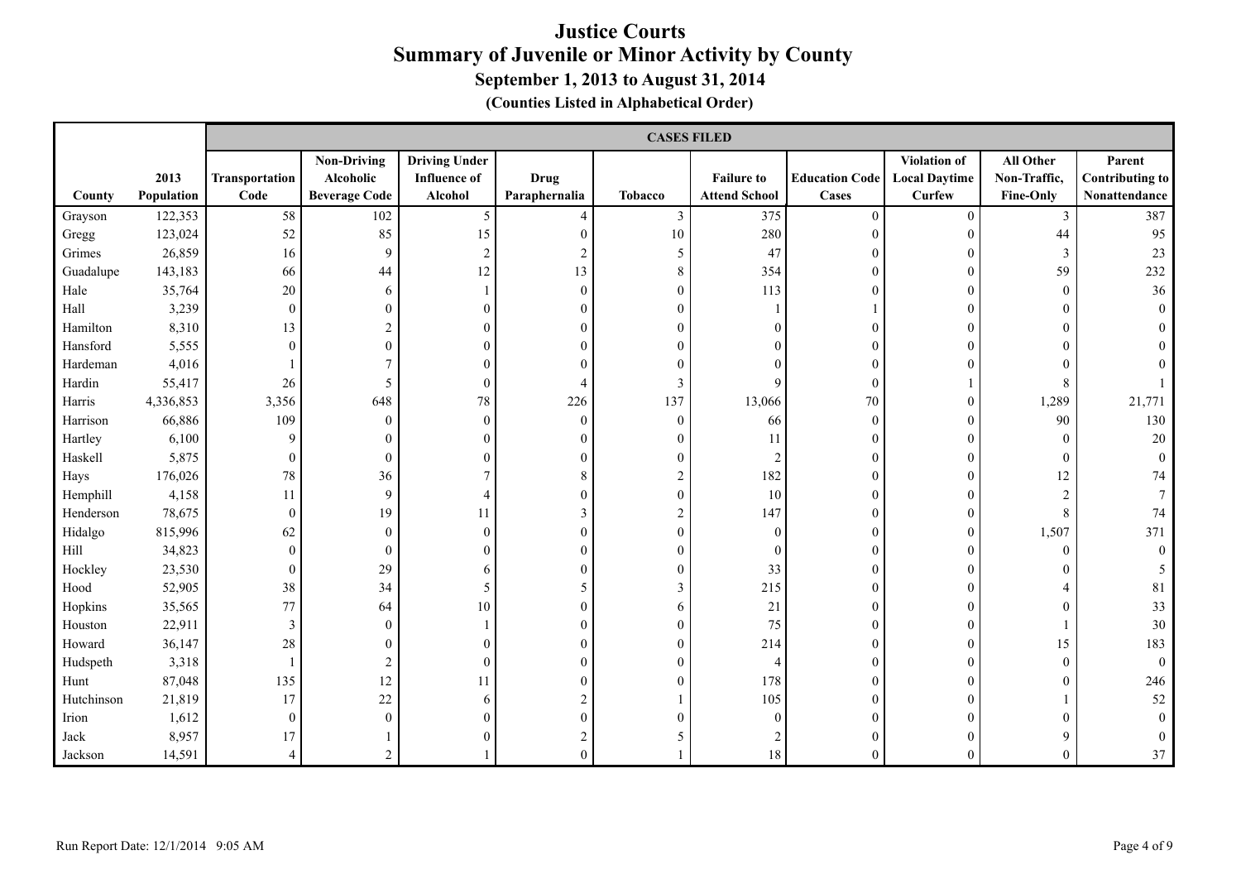|            |                    |                        | <b>CASES FILED</b>                                      |                                                        |                              |                  |                                           |                                |                                                |                                        |                                            |
|------------|--------------------|------------------------|---------------------------------------------------------|--------------------------------------------------------|------------------------------|------------------|-------------------------------------------|--------------------------------|------------------------------------------------|----------------------------------------|--------------------------------------------|
| County     | 2013<br>Population | Transportation<br>Code | <b>Non-Driving</b><br>Alcoholic<br><b>Beverage Code</b> | <b>Driving Under</b><br><b>Influence of</b><br>Alcohol | <b>Drug</b><br>Paraphernalia | <b>Tobacco</b>   | <b>Failure to</b><br><b>Attend School</b> | <b>Education Code</b><br>Cases | Violation of<br><b>Local Daytime</b><br>Curfew | All Other<br>Non-Traffic,<br>Fine-Only | Parent<br>Contributing to<br>Nonattendance |
| Grayson    | 122,353            | 58                     | 102                                                     | $5\overline{)}$                                        | $\overline{4}$               | $\mathfrak{Z}$   | 375                                       | $\theta$                       | $\mathbf{0}$                                   | $\mathfrak{Z}$                         | 387                                        |
| Gregg      | 123,024            | 52                     | 85                                                      | 15                                                     | $\Omega$                     | 10               | 280                                       | $\Omega$                       | $\Omega$                                       | 44                                     | 95                                         |
| Grimes     | 26,859             | 16                     | 9                                                       | $\sqrt{2}$                                             |                              | 5                | 47                                        |                                |                                                | 3                                      | 23                                         |
| Guadalupe  | 143,183            | 66                     | 44                                                      | 12                                                     | 13                           | $\,$ 8 $\,$      | 354                                       | $\Omega$                       | $\mathbf{0}$                                   | 59                                     | 232                                        |
| Hale       | 35,764             | $20\,$                 | 6                                                       |                                                        | $\Omega$                     | $\boldsymbol{0}$ | 113                                       | $\Omega$                       | $\mathbf{0}$                                   | $\boldsymbol{0}$                       | 36                                         |
| Hall       | 3,239              | $\overline{0}$         | $\mathbf{0}$                                            | $\mathbf{0}$                                           |                              | $\mathbf{0}$     |                                           |                                | $\theta$                                       | $\overline{0}$                         |                                            |
| Hamilton   | 8,310              | 13                     | $\overline{2}$                                          | $\mathbf{0}$                                           |                              | $\mathbf{0}$     |                                           |                                | $\theta$                                       | $\theta$                               |                                            |
| Hansford   | 5,555              | $\boldsymbol{0}$       | $\theta$                                                | $\theta$                                               |                              | $\Omega$         |                                           |                                |                                                | $\Omega$                               |                                            |
| Hardeman   | 4,016              |                        | 7                                                       | $\theta$                                               |                              | $\theta$         |                                           |                                |                                                | $\Omega$                               |                                            |
| Hardin     | 55,417             | 26                     | 5                                                       | $\mathbf{0}$                                           |                              | 3                | $\mathbf Q$                               | $\Omega$                       |                                                | 8                                      |                                            |
| Harris     | 4,336,853          | 3,356                  | 648                                                     | 78                                                     | 226                          | 137              | 13,066                                    | 70                             | $\mathbf{0}$                                   | 1,289                                  | 21,771                                     |
| Harrison   | 66,886             | 109                    | $\mathbf{0}$                                            | $\mathbf{0}$                                           | $\theta$                     | $\mathbf{0}$     | 66                                        | $\mathbf{0}$                   | $\theta$                                       | 90                                     | 130                                        |
| Hartley    | 6,100              | 9                      | $\overline{0}$                                          | $\mathbf{0}$                                           |                              | $\mathbf{0}$     | 11                                        | $\Omega$                       | $\Omega$                                       | $\theta$                               | 20                                         |
| Haskell    | 5,875              | $\boldsymbol{0}$       | $\boldsymbol{0}$                                        | $\overline{0}$                                         |                              | $\mathbf{0}$     | $\overline{c}$                            | O                              |                                                | $\boldsymbol{0}$                       |                                            |
| Hays       | 176,026            | $78\,$                 | 36                                                      |                                                        |                              | $\overline{c}$   | 182                                       |                                |                                                | 12                                     | 74                                         |
| Hemphill   | 4,158              | 11                     | 9                                                       | $\overline{4}$                                         |                              | $\mathbf{0}$     | 10                                        | $\Omega$                       |                                                | $\overline{2}$                         |                                            |
| Henderson  | 78,675             | $\mathbf{0}$           | 19                                                      |                                                        |                              | $\overline{c}$   | 147                                       | $\Omega$                       | $\Omega$                                       | 8                                      | 74                                         |
| Hidalgo    | 815,996            | 62                     | $\boldsymbol{0}$                                        | $\mathbf{0}$                                           |                              | $\mathbf{0}$     | $\mathbf{0}$                              | 0                              | $\theta$                                       | 1,507                                  | 371                                        |
| Hill       | 34,823             | $\mathbf{0}$           | $\mathbf{0}$                                            | $\mathbf{0}$                                           |                              | $\mathbf{0}$     | $\theta$                                  | 0                              | $\theta$                                       | $\mathbf{0}$                           |                                            |
| Hockley    | 23,530             | $\mathbf{0}$           | 29                                                      | 6                                                      |                              | $\mathbf{0}$     | 33                                        | $\Omega$                       | $\theta$                                       | $\theta$                               |                                            |
| Hood       | 52,905             | 38                     | 34                                                      | 5                                                      |                              | 3                | 215                                       | $\Omega$                       | $\Omega$                                       | 4                                      | 81                                         |
| Hopkins    | 35,565             | 77                     | 64                                                      | 10                                                     |                              | 6                | 21                                        | 0                              | $\Omega$                                       | $\theta$                               | 33                                         |
| Houston    | 22,911             | $\mathfrak{Z}$         | $\mathbf{0}$                                            |                                                        |                              | $\boldsymbol{0}$ | 75                                        |                                | $\theta$                                       |                                        | 30                                         |
| Howard     | 36,147             | $28\,$                 | $\theta$                                                | $\theta$                                               |                              | $\mathbf{0}$     | 214                                       | O                              | $\theta$                                       | 15                                     | 183                                        |
| Hudspeth   | 3,318              |                        | $\overline{2}$                                          | $\mathbf{0}$                                           |                              | $\mathbf{0}$     | $\overline{4}$                            |                                | $\theta$                                       | $\overline{0}$                         | $\Omega$                                   |
| Hunt       | 87,048             | 135                    | 12                                                      | 11                                                     |                              | $\mathbf{0}$     | 178                                       |                                | $\Omega$                                       | $\theta$                               | 246                                        |
| Hutchinson | 21,819             | 17                     | 22                                                      | 6                                                      |                              |                  | 105                                       | $\Omega$                       |                                                |                                        | 52                                         |
| Irion      | 1,612              | $\overline{0}$         | $\mathbf{0}$                                            | $\theta$                                               |                              | $\theta$         | $\theta$                                  | O                              |                                                | $\Omega$                               |                                            |
| Jack       | 8,957              | 17                     |                                                         | $\Omega$                                               |                              | 5                | 2                                         |                                |                                                | 9                                      |                                            |
| Jackson    | 14,591             | $\overline{4}$         | $\overline{2}$                                          |                                                        | $\Omega$                     |                  | 18                                        |                                | $\theta$                                       | $\theta$                               | 37                                         |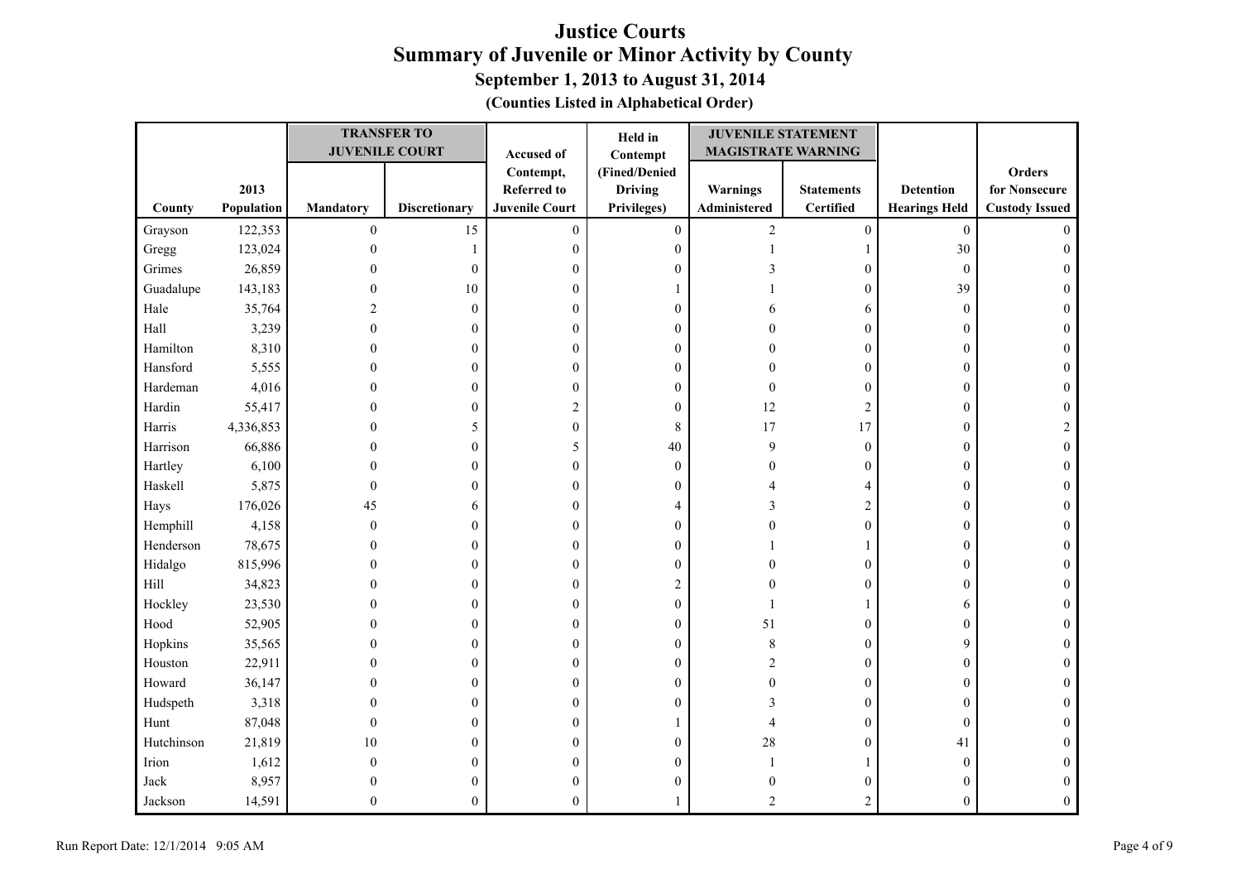| (Counties Listed in Alphabetical Order) |  |  |  |  |
|-----------------------------------------|--|--|--|--|
|-----------------------------------------|--|--|--|--|

|              |            |                  | <b>TRANSFER TO</b>    |                       | Held in          | <b>JUVENILE STATEMENT</b> |                   |                      |                       |
|--------------|------------|------------------|-----------------------|-----------------------|------------------|---------------------------|-------------------|----------------------|-----------------------|
|              |            |                  | <b>JUVENILE COURT</b> | Accused of            | Contempt         | <b>MAGISTRATE WARNING</b> |                   |                      |                       |
|              |            |                  |                       | Contempt,             | (Fined/Denied    |                           |                   |                      | Orders                |
|              | 2013       |                  |                       | <b>Referred to</b>    | <b>Driving</b>   | Warnings                  | <b>Statements</b> | <b>Detention</b>     | for Nonsecure         |
| County       | Population | <b>Mandatory</b> | <b>Discretionary</b>  | <b>Juvenile Court</b> | Privileges)      | Administered              | <b>Certified</b>  | <b>Hearings Held</b> | <b>Custody Issued</b> |
| Grayson      | 122,353    | $\boldsymbol{0}$ | 15                    | $\boldsymbol{0}$      | $\boldsymbol{0}$ | $\sqrt{2}$                | $\boldsymbol{0}$  | $\mathbf{0}$         | $\Omega$              |
| Gregg        | 123,024    | $\mathbf{0}$     |                       | $\boldsymbol{0}$      | $\boldsymbol{0}$ |                           | 1                 | 30                   | $\theta$              |
| Grimes       | 26,859     | $\theta$         | $\mathbf{0}$          | $\theta$              | $\mathbf{0}$     |                           | $\boldsymbol{0}$  | $\boldsymbol{0}$     |                       |
| Guadalupe    | 143,183    | 0                | 10                    | $\overline{0}$        |                  |                           | $\boldsymbol{0}$  | 39                   | 0                     |
| Hale         | 35,764     | $\mathfrak{D}$   | $\overline{0}$        | $\overline{0}$        | $\mathbf{0}$     |                           | 6                 | $\mathbf{0}$         | $\Omega$              |
| Hall         | 3,239      | $\theta$         | $\mathbf{0}$          | $\overline{0}$        | $\mathbf{0}$     |                           | $\boldsymbol{0}$  | $\boldsymbol{0}$     | $\Omega$              |
| Hamilton     | 8,310      | $\theta$         | $\mathbf{0}$          | $\mathbf{0}$          | $\mathbf{0}$     |                           | $\boldsymbol{0}$  | $\boldsymbol{0}$     | 0                     |
| Hansford     | 5,555      | $\theta$         | 0                     | $\theta$              | $\mathbf{0}$     |                           | $\boldsymbol{0}$  | $\boldsymbol{0}$     | $\Omega$              |
| Hardeman     | 4,016      | 0                | 0                     | $\theta$              | $\mathbf{0}$     | $\theta$                  | $\boldsymbol{0}$  | $\mathbf{0}$         | $\theta$              |
| Hardin       | 55,417     | 0                | 0                     | $\overline{c}$        | $\boldsymbol{0}$ | 12                        | $\overline{c}$    | $\boldsymbol{0}$     |                       |
| Harris       | 4,336,853  | 0                | 5                     | $\boldsymbol{0}$      | $\,$ 8 $\,$      | 17                        | 17                | $\boldsymbol{0}$     | 2                     |
| Harrison     | 66,886     | 0                | $\mathbf{0}$          | 5                     | 40               | 9                         | $\boldsymbol{0}$  | $\boldsymbol{0}$     | $\theta$              |
| Hartley      | 6,100      | 0                | 0                     | $\Omega$              | $\mathbf{0}$     | $\theta$                  | $\boldsymbol{0}$  | $\boldsymbol{0}$     | 0                     |
| Haskell      | 5,875      | $\theta$         | 0                     | $\theta$              | $\theta$         |                           | $\overline{4}$    | $\boldsymbol{0}$     | 0                     |
| Hays         | 176,026    | 45               | 6                     | $\theta$              | 4                | 3                         | $\sqrt{2}$        | $\boldsymbol{0}$     | 0                     |
| Hemphill     | 4,158      | $\mathbf{0}$     | $\mathbf{0}$          | $\boldsymbol{0}$      | $\boldsymbol{0}$ |                           | $\boldsymbol{0}$  | $\boldsymbol{0}$     | $\Omega$              |
| Henderson    | 78,675     | $\theta$         | $\mathbf{0}$          | $\theta$              | $\mathbf{0}$     |                           | $\mathbf{1}$      | $\boldsymbol{0}$     |                       |
| Hidalgo      | 815,996    | 0                | $\theta$              | $\overline{0}$        | $\mathbf{0}$     |                           | $\boldsymbol{0}$  | $\boldsymbol{0}$     | 0                     |
| $\rm Hill$   | 34,823     | 0                | $\mathbf{0}$          | $\theta$              | $\overline{2}$   |                           | $\boldsymbol{0}$  | $\boldsymbol{0}$     | $\Omega$              |
| Hockley      | 23,530     | 0                | $\theta$              | $\overline{0}$        | $\mathbf{0}$     |                           | $\mathbf{1}$      | 6                    | 0                     |
| Hood         | 52,905     | 0                | 0                     | $\theta$              | $\mathbf{0}$     | 51                        | $\boldsymbol{0}$  | $\boldsymbol{0}$     | $\Omega$              |
| Hopkins      | 35,565     | $\theta$         | $\theta$              | $\theta$              | $\mathbf{0}$     | 8                         | $\boldsymbol{0}$  | 9                    | $\Omega$              |
| Houston      | 22,911     | 0                | 0                     | $\boldsymbol{0}$      | $\boldsymbol{0}$ | $\overline{c}$            | $\boldsymbol{0}$  | $\boldsymbol{0}$     | 0                     |
| Howard       | 36,147     | 0                | $\overline{0}$        | $\boldsymbol{0}$      | $\boldsymbol{0}$ | $\theta$                  | $\boldsymbol{0}$  | $\boldsymbol{0}$     | $\Omega$              |
| Hudspeth     | 3,318      | 0                | $\mathbf{0}$          | $\overline{0}$        | $\overline{0}$   | 3                         | $\boldsymbol{0}$  | $\boldsymbol{0}$     |                       |
| Hunt         | 87,048     | $\Omega$         | $\Omega$              | $\Omega$              |                  | 4                         | $\boldsymbol{0}$  | $\boldsymbol{0}$     | 0                     |
| Hutchinson   | 21,819     | 10               | 0                     | $\theta$              | $\boldsymbol{0}$ | 28                        | $\boldsymbol{0}$  | 41                   |                       |
| Irion        | 1,612      | $\theta$         | $\theta$              | $\theta$              | $\overline{0}$   |                           | $\mathbf{1}$      | $\boldsymbol{0}$     | 0                     |
| ${\rm Jack}$ | 8,957      | $\theta$         | $\overline{0}$        | $\Omega$              | $\mathbf{0}$     | $\Omega$                  | $\boldsymbol{0}$  | $\boldsymbol{0}$     | $\Omega$              |
| Jackson      | 14,591     | 0                | $\theta$              | $\Omega$              |                  | 2                         | $\overline{2}$    | $\theta$             |                       |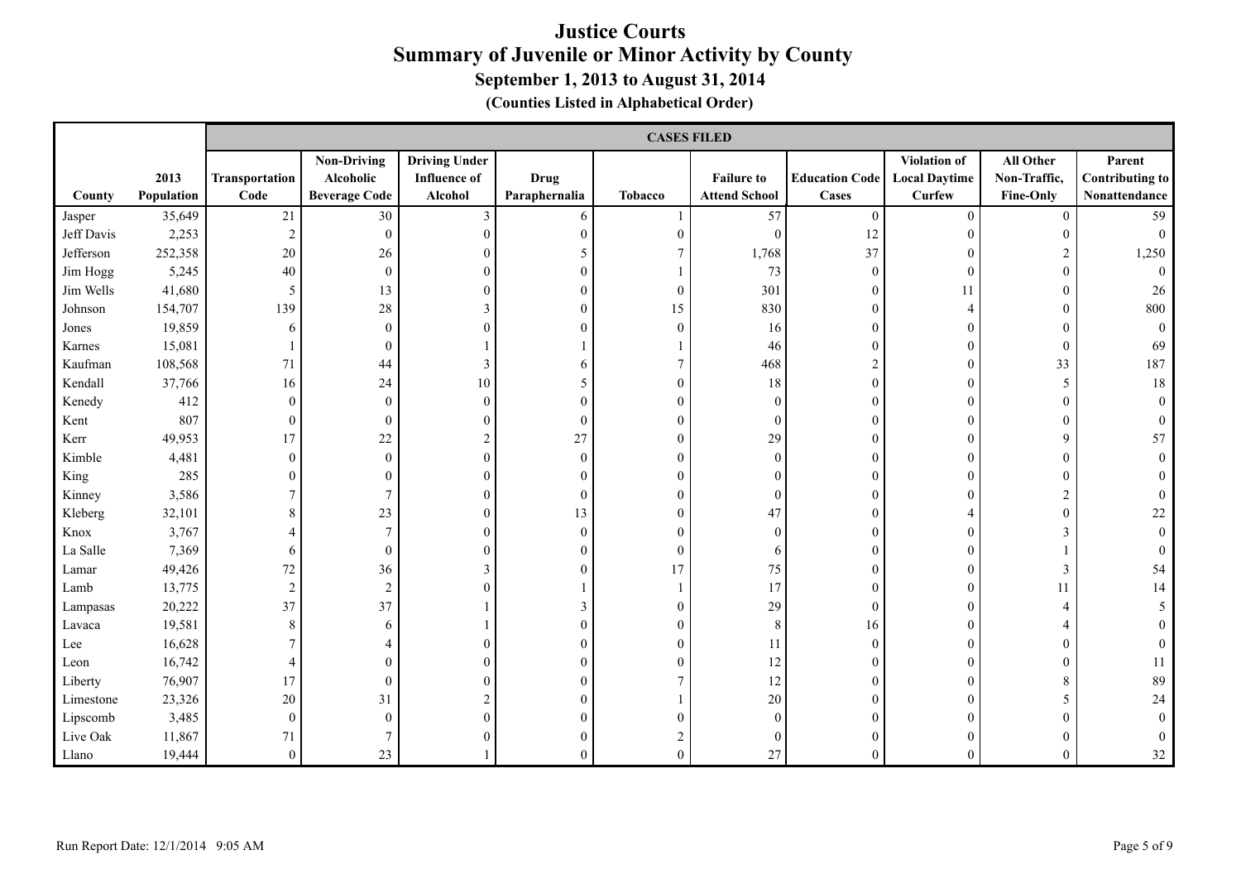|            |                    |                        | <b>CASES FILED</b>                                      |                                                        |                              |                |                                           |                                       |                                                |                                               |                                                   |
|------------|--------------------|------------------------|---------------------------------------------------------|--------------------------------------------------------|------------------------------|----------------|-------------------------------------------|---------------------------------------|------------------------------------------------|-----------------------------------------------|---------------------------------------------------|
| County     | 2013<br>Population | Transportation<br>Code | <b>Non-Driving</b><br>Alcoholic<br><b>Beverage Code</b> | <b>Driving Under</b><br><b>Influence of</b><br>Alcohol | <b>Drug</b><br>Paraphernalia | <b>Tobacco</b> | <b>Failure to</b><br><b>Attend School</b> | <b>Education Code</b><br><b>Cases</b> | Violation of<br><b>Local Daytime</b><br>Curfew | All Other<br>Non-Traffic,<br><b>Fine-Only</b> | Parent<br><b>Contributing to</b><br>Nonattendance |
| Jasper     | 35,649             | 21                     | $30\,$                                                  | $\mathfrak{Z}$                                         | 6                            |                | 57                                        | $\mathbf{0}$                          | $\theta$                                       | $\mathbf{0}$                                  | 59                                                |
| Jeff Davis | 2,253              | $\sqrt{2}$             | $\bf{0}$                                                | $\overline{0}$                                         | $\mathbf{0}$                 | $\theta$       | $\mathbf{0}$                              | 12                                    | $\Omega$                                       | $\theta$                                      | $\Omega$                                          |
| Jefferson  | 252,358            | 20                     | 26                                                      | $\theta$                                               | 5                            |                | 1,768                                     | 37                                    | $\Omega$                                       | 2                                             | 1,250                                             |
| Jim Hogg   | 5,245              | $40\,$                 | $\mathbf{0}$                                            | $\theta$                                               | $\theta$                     |                | 73                                        | $\theta$                              | $\theta$                                       | $\mathbf{0}$                                  |                                                   |
| Jim Wells  | 41,680             | 5                      | 13                                                      | $\boldsymbol{0}$                                       | $\mathbf{0}$                 | $\mathbf{0}$   | 301                                       | $\mathbf{0}$                          | 11                                             | $\boldsymbol{0}$                              | 26                                                |
| Johnson    | 154,707            | 139                    | $28\,$                                                  | 3                                                      | $\mathbf{0}$                 | 15             | 830                                       | $\theta$                              |                                                | $\theta$                                      | 800                                               |
| Jones      | 19,859             | 6                      | $\mathbf{0}$                                            | $\theta$                                               | $\theta$                     | $\Omega$       | 16                                        | $\Omega$                              | $\Omega$                                       | 0                                             |                                                   |
| Karnes     | 15,081             |                        | $\boldsymbol{0}$                                        |                                                        |                              |                | 46                                        | $\Omega$                              | $\theta$                                       | $\boldsymbol{0}$                              | 69                                                |
| Kaufman    | 108,568            | 71                     | 44                                                      | 3                                                      | 6                            | 7              | 468                                       | $\overline{c}$                        | $\theta$                                       | 33                                            | 187                                               |
| Kendall    | 37,766             | 16                     | 24                                                      | 10                                                     | 5                            | $\theta$       | 18                                        | $\theta$                              | $\Omega$                                       | 5                                             | 18                                                |
| Kenedy     | 412                | $\overline{0}$         | $\bf{0}$                                                | $\theta$                                               | $\theta$                     | $\Omega$       | $\Omega$                                  | $\Omega$                              | $\Omega$                                       | $\theta$                                      |                                                   |
| Kent       | 807                | $\boldsymbol{0}$       | $\boldsymbol{0}$                                        | $\mathbf{0}$                                           | $\mathbf{0}$                 | $\mathbf{0}$   | $\theta$                                  | $\Omega$                              | $\Omega$                                       | $\theta$                                      |                                                   |
| Kerr       | 49,953             | 17                     | $22\,$                                                  | $\overline{c}$                                         | 27                           | $\theta$       | 29                                        | $\Omega$                              | $\Omega$                                       | 9                                             | 57                                                |
| Kimble     | 4,481              | $\overline{0}$         | $\boldsymbol{0}$                                        | $\theta$                                               | $\theta$                     | $\theta$       | $\Omega$                                  | 0                                     | $\Omega$                                       | 0                                             |                                                   |
| King       | 285                | $\overline{0}$         | $\theta$                                                | $\theta$                                               | $\mathbf{0}$                 | $\mathbf{0}$   |                                           | 0                                     | $\Omega$                                       | 0                                             |                                                   |
| Kinney     | 3,586              | $\boldsymbol{7}$       | $\overline{7}$                                          | $\theta$                                               | $\overline{0}$               | $\theta$       | $\Omega$                                  | $\Omega$                              | $\Omega$                                       | $\overline{c}$                                |                                                   |
| Kleberg    | 32,101             | 8                      | 23                                                      | $\theta$                                               | 13                           | $\Omega$       | 47                                        | $\Omega$                              |                                                | $\theta$                                      | 22                                                |
| Knox       | 3,767              | $\overline{4}$         | $\overline{7}$                                          | $\theta$                                               | $\theta$                     | $\Omega$       | $\Omega$                                  | 0                                     | $\Omega$                                       | 3                                             |                                                   |
| La Salle   | 7,369              | 6                      | $\boldsymbol{0}$                                        | $\theta$                                               | $\mathbf{0}$                 | $\mathbf{0}$   | 6                                         | $\Omega$                              | $\theta$                                       |                                               |                                                   |
| Lamar      | 49,426             | $72\,$                 | 36                                                      | 3                                                      | $\theta$                     | 17             | 75                                        | $\Omega$                              | $\theta$                                       | 3                                             | 54                                                |
| Lamb       | 13,775             | 2                      | $\sqrt{2}$                                              | $\theta$                                               |                              |                | 17                                        | $\Omega$                              | $\theta$                                       | 11                                            | 14                                                |
| Lampasas   | 20,222             | 37                     | 37                                                      |                                                        | 3                            | $\theta$       | 29                                        | $\theta$                              | $\theta$                                       | 4                                             |                                                   |
| Lavaca     | 19,581             | $8\,$                  | 6                                                       |                                                        | $\mathbf{0}$                 | $\theta$       | 8                                         | 16                                    | $\Omega$                                       | 4                                             |                                                   |
| Lee        | 16,628             | $\overline{7}$         | 4                                                       | 0                                                      | $\theta$                     | $\theta$       | 11                                        | $\Omega$                              | $\Omega$                                       | $\theta$                                      |                                                   |
| Leon       | 16,742             | 4                      | $\Omega$                                                | 0                                                      | $\theta$                     | $\theta$       | 12                                        |                                       | $\Omega$                                       | $\theta$                                      | 11                                                |
| Liberty    | 76,907             | 17                     | $\boldsymbol{0}$                                        | $\theta$                                               | $\mathbf{0}$                 |                | 12                                        | $\theta$                              | $\Omega$                                       | 8                                             | 89                                                |
| Limestone  | 23,326             | $20\,$                 | 31                                                      | $\overline{c}$                                         | $\Omega$                     |                | 20                                        | $\Omega$                              | $\Omega$                                       | 5                                             | 24                                                |
| Lipscomb   | 3,485              | $\overline{0}$         | $\theta$                                                | $\Omega$                                               |                              | $\Omega$       | $\Omega$                                  |                                       |                                                |                                               |                                                   |
| Live Oak   | 11,867             | 71                     |                                                         | 0                                                      | $\theta$                     |                |                                           |                                       |                                                | 0                                             |                                                   |
| Llano      | 19,444             | $\overline{0}$         | 23                                                      |                                                        | $\Omega$                     | $\Omega$       | 27                                        | $\Omega$                              | $\Omega$                                       | $\theta$                                      | 32                                                |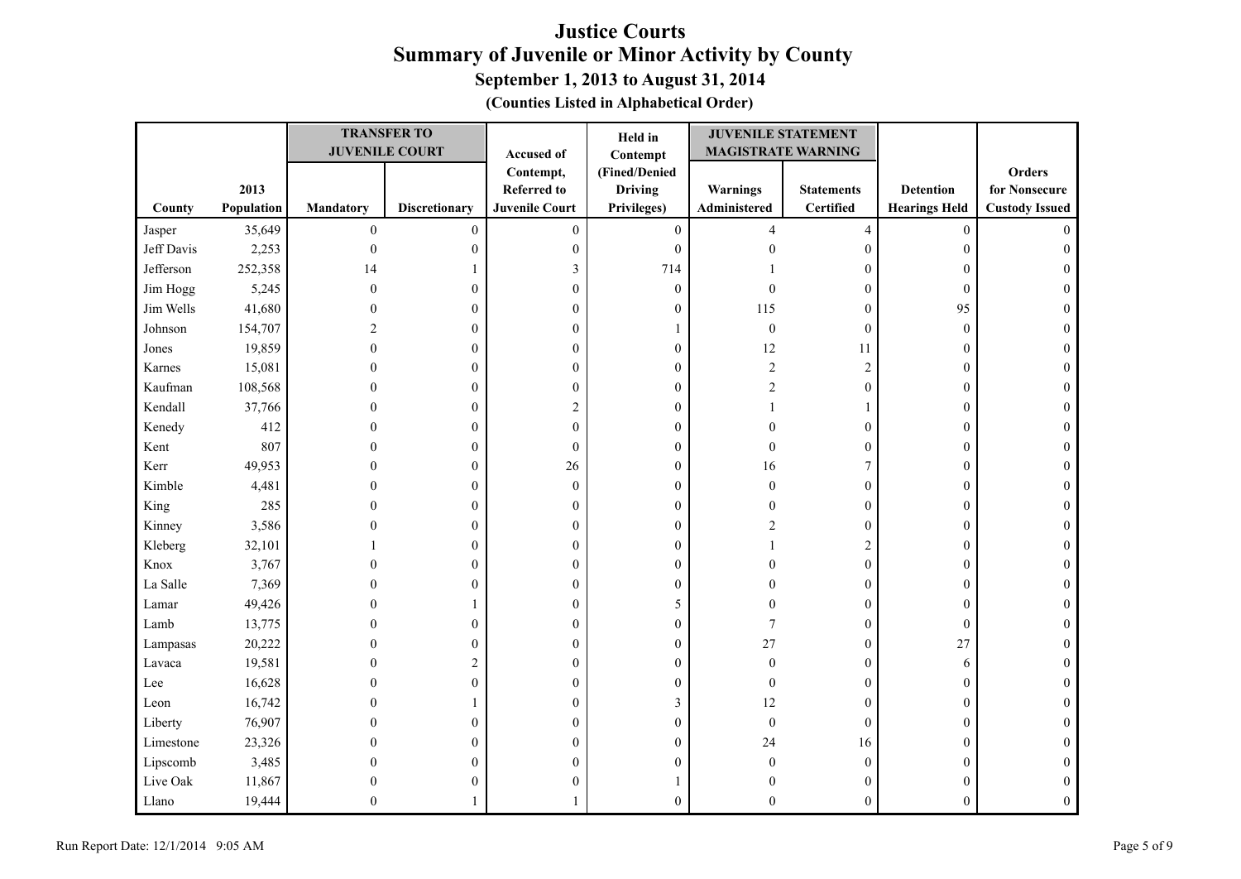| (Counties Listed in Alphabetical Order) |  |  |  |  |
|-----------------------------------------|--|--|--|--|
|-----------------------------------------|--|--|--|--|

|            |            |                  | <b>TRANSFER TO</b>    |                       | Held in          | <b>JUVENILE STATEMENT</b> |                   |                      |                       |
|------------|------------|------------------|-----------------------|-----------------------|------------------|---------------------------|-------------------|----------------------|-----------------------|
|            |            |                  | <b>JUVENILE COURT</b> | Accused of            | Contempt         | <b>MAGISTRATE WARNING</b> |                   |                      |                       |
|            |            |                  |                       | Contempt,             | (Fined/Denied    |                           |                   |                      | Orders                |
|            | 2013       |                  |                       | <b>Referred to</b>    | <b>Driving</b>   | Warnings                  | <b>Statements</b> | <b>Detention</b>     | for Nonsecure         |
| County     | Population | Mandatory        | <b>Discretionary</b>  | <b>Juvenile Court</b> | Privileges)      | Administered              | <b>Certified</b>  | <b>Hearings Held</b> | <b>Custody Issued</b> |
| Jasper     | 35,649     | $\boldsymbol{0}$ | $\boldsymbol{0}$      | $\overline{0}$        | $\boldsymbol{0}$ | $\overline{\mathcal{L}}$  | $\overline{4}$    | $\boldsymbol{0}$     | $\Omega$              |
| Jeff Davis | 2,253      | $\mathbf{0}$     | $\mathbf{0}$          | $\boldsymbol{0}$      | $\boldsymbol{0}$ | $\theta$                  | $\boldsymbol{0}$  | $\boldsymbol{0}$     | $\Omega$              |
| Jefferson  | 252,358    | 14               |                       | 3                     | 714              |                           | $\boldsymbol{0}$  | $\mathbf{0}$         |                       |
| Jim Hogg   | 5,245      | $\mathbf{0}$     | $\overline{0}$        | $\boldsymbol{0}$      | $\boldsymbol{0}$ | $\Omega$                  | $\boldsymbol{0}$  | $\boldsymbol{0}$     |                       |
| Jim Wells  | 41,680     | 0                | $\overline{0}$        | $\overline{0}$        | $\boldsymbol{0}$ | 115                       | $\boldsymbol{0}$  | 95                   | 0                     |
| Johnson    | 154,707    | 2                | $\Omega$              | $\overline{0}$        | 1                | $\mathbf{0}$              | $\boldsymbol{0}$  | $\mathbf{0}$         | 0                     |
| Jones      | 19,859     | $\theta$         | $\mathbf{0}$          | $\theta$              | $\boldsymbol{0}$ | 12                        | 11                | $\boldsymbol{0}$     | $\theta$              |
| Karnes     | 15,081     | $\theta$         | 0                     | $\theta$              | $\mathbf{0}$     | $\overline{c}$            | $\overline{2}$    | $\boldsymbol{0}$     | $\theta$              |
| Kaufman    | 108,568    | 0                | 0                     | 0                     | $\mathbf{0}$     | $\overline{c}$            | $\boldsymbol{0}$  | $\boldsymbol{0}$     | 0                     |
| Kendall    | 37,766     | 0                | 0                     | 2                     | $\mathbf{0}$     |                           | $\mathbf{1}$      | $\boldsymbol{0}$     | 0                     |
| Kenedy     | 412        | 0                | $\mathbf{0}$          | $\mathbf{0}$          | $\boldsymbol{0}$ |                           | $\boldsymbol{0}$  | $\boldsymbol{0}$     | 0                     |
| Kent       | 807        | 0                | $\overline{0}$        | $\theta$              | $\mathbf{0}$     | $\theta$                  | $\boldsymbol{0}$  | $\boldsymbol{0}$     | 0                     |
| Kerr       | 49,953     | 0                | $\mathbf{0}$          | 26                    | $\mathbf{0}$     | 16                        | $\tau$            | $\boldsymbol{0}$     |                       |
| Kimble     | 4,481      | $\theta$         | $\mathbf{0}$          | $\mathbf{0}$          | $\boldsymbol{0}$ | $\mathbf{0}$              | $\boldsymbol{0}$  | $\boldsymbol{0}$     | 0                     |
| King       | 285        | $\theta$         | $\mathbf{0}$          | $\theta$              | $\mathbf{0}$     | $\theta$                  | $\boldsymbol{0}$  | $\boldsymbol{0}$     | $\Omega$              |
| Kinney     | 3,586      | 0                | 0                     | $\theta$              | $\mathbf{0}$     | $\overline{c}$            | $\boldsymbol{0}$  | $\boldsymbol{0}$     |                       |
| Kleberg    | 32,101     |                  | $\mathbf{0}$          | $\overline{0}$        | $\mathbf{0}$     |                           | $\sqrt{2}$        | $\boldsymbol{0}$     | 0                     |
| Knox       | 3,767      |                  | $\overline{0}$        | $\boldsymbol{0}$      | $\boldsymbol{0}$ |                           | $\boldsymbol{0}$  | $\boldsymbol{0}$     |                       |
| La Salle   | 7,369      | 0                | $\overline{0}$        | $\overline{0}$        | $\mathbf{0}$     |                           | $\boldsymbol{0}$  | $\mathbf{0}$         | 0                     |
| Lamar      | 49,426     | O                |                       | $\theta$              | 5                |                           | $\boldsymbol{0}$  | $\mathbf{0}$         | 0                     |
| Lamb       | 13,775     | $\theta$         | $\mathbf{0}$          | $\theta$              | $\boldsymbol{0}$ | 7                         | $\boldsymbol{0}$  | $\boldsymbol{0}$     | $\Omega$              |
| Lampasas   | 20,222     | 0                | 0                     | $\theta$              | $\mathbf{0}$     | 27                        | $\boldsymbol{0}$  | 27                   | $\theta$              |
| Lavaca     | 19,581     | 0                | 2                     | $\theta$              | 0                | $\boldsymbol{0}$          | $\boldsymbol{0}$  | 6                    |                       |
| Lee        | 16,628     | 0                | $\theta$              | $\theta$              | $\mathbf{0}$     | $\mathbf{0}$              | $\boldsymbol{0}$  | $\boldsymbol{0}$     | 0                     |
| Leon       | 16,742     | 0                |                       | $\boldsymbol{0}$      | 3                | 12                        | $\boldsymbol{0}$  | $\boldsymbol{0}$     |                       |
| Liberty    | 76,907     | 0                | $\theta$              | $\overline{0}$        | $\mathbf{0}$     | $\boldsymbol{0}$          | $\boldsymbol{0}$  | $\boldsymbol{0}$     |                       |
| Limestone  | 23,326     | O                | 0                     | $\Omega$              | $\mathbf{0}$     | 24                        | 16                | $\mathbf{0}$         |                       |
| Lipscomb   | 3,485      | 0                | $\theta$              | $\theta$              | $\overline{0}$   | $\mathbf{0}$              | $\boldsymbol{0}$  | $\boldsymbol{0}$     | 0                     |
| Live Oak   | 11,867     | $\theta$         | 0                     | $\theta$              |                  |                           | $\boldsymbol{0}$  | $\boldsymbol{0}$     |                       |
| Llano      | 19,444     | 0                |                       |                       | $\mathbf{0}$     | $\Omega$                  | $\boldsymbol{0}$  | $\mathbf{0}$         |                       |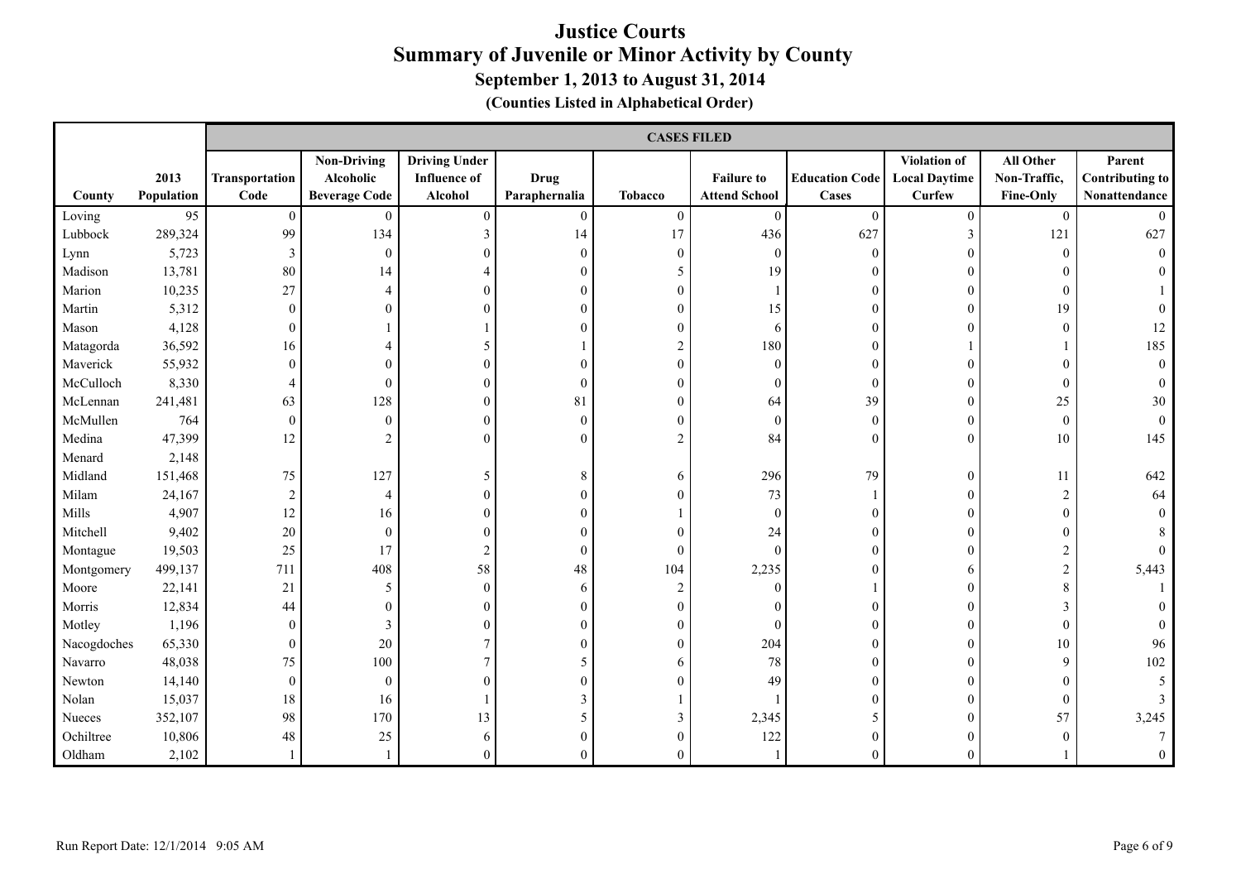|             |                    |                        | <b>CASES FILED</b>                                      |                                                               |                       |                |                                           |                                |                                                |                                               |                                                   |
|-------------|--------------------|------------------------|---------------------------------------------------------|---------------------------------------------------------------|-----------------------|----------------|-------------------------------------------|--------------------------------|------------------------------------------------|-----------------------------------------------|---------------------------------------------------|
| County      | 2013<br>Population | Transportation<br>Code | <b>Non-Driving</b><br>Alcoholic<br><b>Beverage Code</b> | <b>Driving Under</b><br><b>Influence of</b><br><b>Alcohol</b> | Drug<br>Paraphernalia | <b>Tobacco</b> | <b>Failure to</b><br><b>Attend School</b> | <b>Education Code</b><br>Cases | Violation of<br><b>Local Daytime</b><br>Curfew | All Other<br>Non-Traffic,<br><b>Fine-Only</b> | Parent<br><b>Contributing to</b><br>Nonattendance |
| Loving      | 95                 | $\mathbf{0}$           | $\boldsymbol{0}$                                        | $\boldsymbol{0}$                                              | $\mathbf{0}$          | $\mathbf{0}$   | $\mathbf{0}$                              | $\mathbf{0}$                   | $\theta$                                       | $\mathbf{0}$                                  |                                                   |
| Lubbock     | 289,324            | 99                     | 134                                                     | $\mathfrak{Z}$                                                | 14                    | 17             | 436                                       | 627                            | 3                                              | 121                                           | 627                                               |
| Lynn        | 5,723              | 3                      | $\mathbf{0}$                                            | $\Omega$                                                      | $\Omega$              | $\Omega$       | $\theta$                                  | $\Omega$                       | $\Omega$                                       | $\theta$                                      |                                                   |
| Madison     | 13,781             | 80                     | 14                                                      | 4                                                             |                       | 5              | 19                                        | $\Omega$                       | $\Omega$                                       | 0                                             |                                                   |
| Marion      | 10,235             | 27                     | $\overline{4}$                                          | $\boldsymbol{0}$                                              |                       | $\theta$       |                                           | 0                              |                                                | $\mathbf{0}$                                  |                                                   |
| Martin      | 5,312              | $\mathbf{0}$           | $\Omega$                                                | $\theta$                                                      |                       | $\theta$       | 15                                        | 0                              | $\Omega$                                       | 19                                            |                                                   |
| Mason       | 4,128              | 0                      |                                                         |                                                               |                       | $\theta$       | 6                                         | 0                              |                                                | $\overline{0}$                                | 12                                                |
| Matagorda   | 36,592             | 16                     |                                                         | 5                                                             |                       | 2              | 180                                       | 0                              |                                                |                                               | 185                                               |
| Maverick    | 55,932             | $\mathbf{0}$           | $\mathbf{0}$                                            | $\Omega$                                                      |                       | $\theta$       | $\theta$                                  | $\Omega$                       |                                                | $\Omega$                                      |                                                   |
| McCulloch   | 8,330              | 4                      | $\theta$                                                | 0                                                             | $\Omega$              | $\theta$       | $\Omega$                                  | $\Omega$                       |                                                | $\mathbf{0}$                                  |                                                   |
| McLennan    | 241,481            | 63                     | 128                                                     | $\theta$                                                      | 81                    | $\theta$       | 64                                        | 39                             |                                                | 25                                            | 30                                                |
| McMullen    | 764                | $\mathbf{0}$           | $\boldsymbol{0}$                                        | $\overline{0}$                                                | $\Omega$              | $\mathbf{0}$   | $\boldsymbol{0}$                          | $\theta$                       | $\Omega$                                       | $\boldsymbol{0}$                              | $\Omega$                                          |
| Medina      | 47,399             | 12                     | $\overline{2}$                                          | $\Omega$                                                      | $\Omega$              | $\overline{2}$ | 84                                        | $\Omega$                       | $\Omega$                                       | 10                                            | 145                                               |
| Menard      | 2,148              |                        |                                                         |                                                               |                       |                |                                           |                                |                                                |                                               |                                                   |
| Midland     | 151,468            | 75                     | 127                                                     | 5                                                             | 8                     | 6              | 296                                       | 79                             | $\theta$                                       | 11                                            | 642                                               |
| Milam       | 24,167             | $\boldsymbol{2}$       | $\overline{4}$                                          | $\theta$                                                      |                       | $\Omega$       | 73                                        |                                | $\Omega$                                       | 2                                             | 64                                                |
| Mills       | 4,907              | 12                     | 16                                                      | $\theta$                                                      |                       |                | $\mathbf{0}$                              | ∩                              |                                                | 0                                             |                                                   |
| Mitchell    | 9,402              | 20                     | $\boldsymbol{0}$                                        | $\theta$                                                      |                       |                | 24                                        | 0                              |                                                | $\theta$                                      |                                                   |
| Montague    | 19,503             | 25                     | 17                                                      | $\overline{2}$                                                | $\Omega$              | $\Omega$       | $\mathbf{0}$                              | 0                              | $\Omega$                                       | 2                                             |                                                   |
| Montgomery  | 499,137            | 711                    | 408                                                     | 58                                                            | 48                    | 104            | 2,235                                     | $\theta$                       | 6                                              | $\sqrt{2}$                                    | 5,443                                             |
| Moore       | 22,141             | 21                     | $\sqrt{5}$                                              | $\overline{0}$                                                | 6                     |                | $\theta$                                  |                                | $\Omega$                                       | 8                                             |                                                   |
| Morris      | 12,834             | 44                     | $\mathbf{0}$                                            | $\theta$                                                      | 0                     | $\Omega$       |                                           |                                | ∩                                              | 3                                             |                                                   |
| Motley      | 1,196              | $\boldsymbol{0}$       | 3                                                       | $\theta$                                                      | 0                     | $\theta$       | $\theta$                                  | 0                              | $\Omega$                                       | $\boldsymbol{0}$                              |                                                   |
| Nacogdoches | 65,330             | $\boldsymbol{0}$       | 20                                                      | 7                                                             |                       | $\theta$       | 204                                       | $\Omega$                       | $\Omega$                                       | 10                                            | 96                                                |
| Navarro     | 48,038             | 75                     | 100                                                     | 7                                                             |                       | 6              | $78\,$                                    |                                | $\Omega$                                       | 9                                             | 102                                               |
| Newton      | 14,140             | $\mathbf{0}$           | $\boldsymbol{0}$                                        | 0                                                             |                       | $\theta$       | 49                                        |                                |                                                | $\theta$                                      |                                                   |
| Nolan       | 15,037             | $18\,$                 | 16                                                      |                                                               |                       |                |                                           | 0                              |                                                | $\boldsymbol{0}$                              |                                                   |
| Nueces      | 352,107            | 98                     | 170                                                     | 13                                                            |                       | 3              | 2,345                                     |                                |                                                | 57                                            | 3,245                                             |
| Ochiltree   | 10,806             | 48                     | 25                                                      | 6                                                             |                       | $\Omega$       | 122                                       | 0                              |                                                | $\theta$                                      |                                                   |
| Oldham      | 2,102              |                        |                                                         | 0                                                             | 0                     |                |                                           | 0                              |                                                |                                               |                                                   |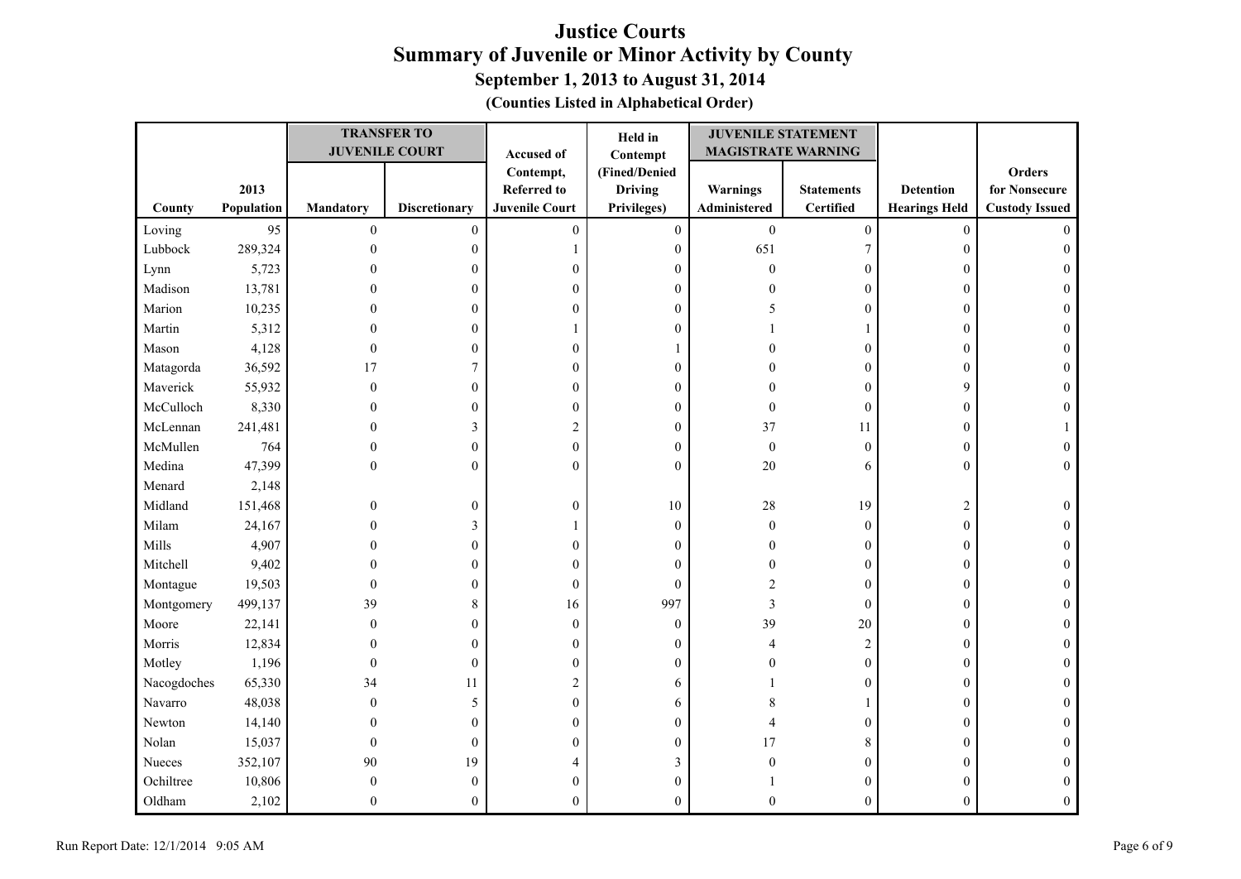| (Counties Listed in Alphabetical Order) |  |  |  |  |
|-----------------------------------------|--|--|--|--|
|-----------------------------------------|--|--|--|--|

|             |            |                  | <b>TRANSFER TO</b>    |                       | Held in          | <b>JUVENILE STATEMENT</b> |                   |                      |                       |
|-------------|------------|------------------|-----------------------|-----------------------|------------------|---------------------------|-------------------|----------------------|-----------------------|
|             |            |                  | <b>JUVENILE COURT</b> | Accused of            | Contempt         | <b>MAGISTRATE WARNING</b> |                   |                      |                       |
|             |            |                  |                       | Contempt,             | (Fined/Denied    |                           |                   |                      | <b>Orders</b>         |
|             | 2013       |                  |                       | <b>Referred to</b>    | <b>Driving</b>   | <b>Warnings</b>           | <b>Statements</b> | <b>Detention</b>     | for Nonsecure         |
| County      | Population | <b>Mandatory</b> | <b>Discretionary</b>  | <b>Juvenile Court</b> | Privileges)      | Administered              | Certified         | <b>Hearings Held</b> | <b>Custody Issued</b> |
| Loving      | 95         | $\boldsymbol{0}$ | $\mathbf{0}$          | $\boldsymbol{0}$      | $\boldsymbol{0}$ | $\boldsymbol{0}$          | $\boldsymbol{0}$  | $\boldsymbol{0}$     | $\Omega$              |
| Lubbock     | 289,324    | $\mathbf{0}$     | $\mathbf{0}$          |                       | $\boldsymbol{0}$ | 651                       | $\boldsymbol{7}$  | $\boldsymbol{0}$     | $\theta$              |
| Lynn        | 5,723      | 0                | $\mathbf{0}$          | $\theta$              | $\mathbf{0}$     | $\boldsymbol{0}$          | $\boldsymbol{0}$  | $\boldsymbol{0}$     |                       |
| Madison     | 13,781     | 0                | $\Omega$              | $\Omega$              | $\mathbf{0}$     | $\Omega$                  | $\boldsymbol{0}$  | $\boldsymbol{0}$     | 0                     |
| Marion      | 10,235     | 0                | $\mathbf{0}$          | $\overline{0}$        | $\boldsymbol{0}$ | 5                         | $\boldsymbol{0}$  | $\boldsymbol{0}$     | 0                     |
| Martin      | 5,312      | 0                | $\Omega$              |                       | $\overline{0}$   |                           | 1                 | $\boldsymbol{0}$     | 0                     |
| Mason       | 4,128      | 0                | $\Omega$              | $\theta$              |                  |                           | $\boldsymbol{0}$  | $\mathbf{0}$         | 0                     |
| Matagorda   | 36,592     | 17               | 7                     | $\theta$              | $\boldsymbol{0}$ |                           | $\boldsymbol{0}$  | $\boldsymbol{0}$     | $\Omega$              |
| Maverick    | 55,932     | $\mathbf{0}$     | $\mathbf{0}$          | $\mathbf{0}$          | $\mathbf{0}$     | $\Omega$                  | $\boldsymbol{0}$  | 9                    | $\Omega$              |
| McCulloch   | 8,330      | 0                | $\overline{0}$        | $\mathbf{0}$          | $\mathbf{0}$     | $\boldsymbol{0}$          | $\boldsymbol{0}$  | $\boldsymbol{0}$     |                       |
| McLennan    | 241,481    | 0                | 3                     | 2                     | $\mathbf{0}$     | 37                        | 11                | $\boldsymbol{0}$     |                       |
| McMullen    | 764        | $\mathbf{0}$     | $\mathbf{0}$          | $\boldsymbol{0}$      | $\boldsymbol{0}$ | $\boldsymbol{0}$          | $\boldsymbol{0}$  | $\boldsymbol{0}$     | 0                     |
| Medina      | 47,399     | 0                | $\theta$              | $\theta$              | $\theta$         | 20                        | 6                 | $\mathbf{0}$         | $\theta$              |
| Menard      | 2,148      |                  |                       |                       |                  |                           |                   |                      |                       |
| Midland     | 151,468    | $\mathbf{0}$     | $\mathbf{0}$          | $\mathbf{0}$          | 10               | 28                        | 19                | $\overline{2}$       | $\Omega$              |
| Milam       | 24,167     | $\mathbf{0}$     | 3                     |                       | $\boldsymbol{0}$ | $\boldsymbol{0}$          | $\boldsymbol{0}$  | $\boldsymbol{0}$     |                       |
| Mills       | 4,907      | $\theta$         | $\overline{0}$        | $\mathbf{0}$          | $\mathbf{0}$     | $\overline{0}$            | $\boldsymbol{0}$  | $\boldsymbol{0}$     |                       |
| Mitchell    | 9,402      | 0                | $\overline{0}$        | $\mathbf{0}$          | $\mathbf{0}$     |                           | $\boldsymbol{0}$  | $\boldsymbol{0}$     | 0                     |
| Montague    | 19,503     | $\Omega$         | $\Omega$              | $\mathbf{0}$          | $\mathbf{0}$     | 2                         | $\boldsymbol{0}$  | $\mathbf{0}$         | 0                     |
| Montgomery  | 499,137    | 39               | 8                     | 16                    | 997              | 3                         | $\boldsymbol{0}$  | $\boldsymbol{0}$     | 0                     |
| Moore       | 22,141     | $\theta$         | $\theta$              | $\mathbf{0}$          | $\mathbf{0}$     | 39                        | 20                | $\boldsymbol{0}$     | $\Omega$              |
| Morris      | 12,834     | 0                | $\Omega$              | $\mathbf{0}$          | $\mathbf{0}$     | 4                         | $\overline{2}$    | $\boldsymbol{0}$     | $\Omega$              |
| Motley      | 1,196      | $\theta$         | $\theta$              | $\theta$              | $\Omega$         |                           | $\boldsymbol{0}$  | $\boldsymbol{0}$     |                       |
| Nacogdoches | 65,330     | 34               | 11                    | 2                     | 6                |                           | $\boldsymbol{0}$  | $\boldsymbol{0}$     | $\Omega$              |
| Navarro     | 48,038     | $\mathbf{0}$     | 5                     | $\mathbf{0}$          | 6                | 8                         | $\mathbf{1}$      | $\boldsymbol{0}$     |                       |
| Newton      | 14,140     | 0                | $\Omega$              | $\theta$              | $\mathbf{0}$     |                           | $\boldsymbol{0}$  | $\mathbf{0}$         | 0                     |
| Nolan       | 15,037     | $\theta$         | $\theta$              | $\Omega$              | $\Omega$         | 17                        | $\,$ 8 $\,$       | $\mathbf{0}$         |                       |
| Nueces      | 352,107    | 90               | 19                    |                       | 3                | $\Omega$                  | $\boldsymbol{0}$  | $\boldsymbol{0}$     | 0                     |
| Ochiltree   | 10,806     | $\theta$         | $\theta$              | $\theta$              | $\overline{0}$   |                           | $\boldsymbol{0}$  | $\boldsymbol{0}$     | $\Omega$              |
| Oldham      | 2,102      | $\theta$         | $\Omega$              | $\Omega$              | $\Omega$         | 0                         | $\overline{0}$    | $\mathbf{0}$         |                       |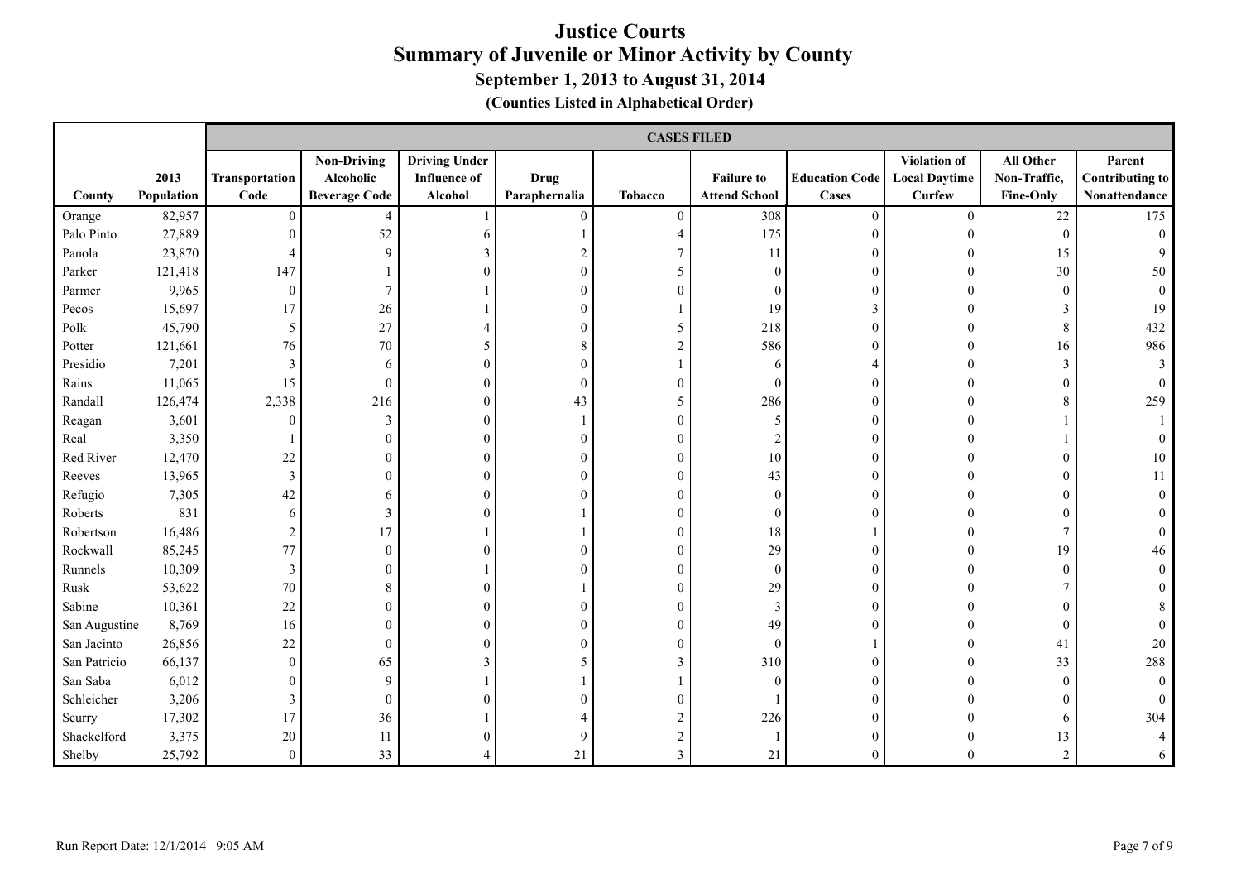|               |                    |                        | <b>CASES FILED</b>                                      |                                                        |                              |                |                                           |                                       |                                                |                                               |                                                   |
|---------------|--------------------|------------------------|---------------------------------------------------------|--------------------------------------------------------|------------------------------|----------------|-------------------------------------------|---------------------------------------|------------------------------------------------|-----------------------------------------------|---------------------------------------------------|
| County        | 2013<br>Population | Transportation<br>Code | <b>Non-Driving</b><br>Alcoholic<br><b>Beverage Code</b> | <b>Driving Under</b><br><b>Influence of</b><br>Alcohol | <b>Drug</b><br>Paraphernalia | <b>Tobacco</b> | <b>Failure to</b><br><b>Attend School</b> | <b>Education Code</b><br><b>Cases</b> | Violation of<br><b>Local Daytime</b><br>Curfew | All Other<br>Non-Traffic,<br><b>Fine-Only</b> | Parent<br><b>Contributing to</b><br>Nonattendance |
| Orange        | 82,957             | $\overline{0}$         | $\overline{4}$                                          |                                                        | $\theta$                     | $\Omega$       | 308                                       | $\Omega$                              | $\theta$                                       | $22\,$                                        | 175                                               |
| Palo Pinto    | 27,889             | $\mathbf{0}$           | 52                                                      | 6                                                      |                              |                | 175                                       | $\theta$                              | $\Omega$                                       | $\mathbf{0}$                                  | $\boldsymbol{0}$                                  |
| Panola        | 23,870             | $\overline{4}$         | $\mathbf{Q}$                                            | 3                                                      |                              |                | 11                                        | 0                                     |                                                | 15                                            |                                                   |
| Parker        | 121,418            | 147                    |                                                         | $\Omega$                                               |                              |                | $\theta$                                  |                                       |                                                | $30\,$                                        | 50                                                |
| Parmer        | 9,965              | $\boldsymbol{0}$       | $\tau$                                                  |                                                        |                              |                | $\Omega$                                  |                                       |                                                | $\theta$                                      |                                                   |
| Pecos         | 15,697             | 17                     | $26\,$                                                  |                                                        |                              |                | 19                                        | 3                                     |                                                | 3                                             | 19                                                |
| Polk          | 45,790             | 5                      | 27                                                      |                                                        |                              | 5              | 218                                       | $\Omega$                              | $\Omega$                                       | 8                                             | 432                                               |
| Potter        | 121,661            | 76                     | 70                                                      | 5                                                      |                              | 2              | 586                                       |                                       | $\Omega$                                       | 16                                            | 986                                               |
| Presidio      | 7,201              | 3                      | 6                                                       | $\Omega$                                               |                              |                | 6                                         |                                       |                                                | 3                                             |                                                   |
| Rains         | 11,065             | 15                     | $\boldsymbol{0}$                                        | $\Omega$                                               | $\Omega$                     | $\Omega$       | $\Omega$                                  | 0                                     |                                                | $\theta$                                      |                                                   |
| Randall       | 126,474            | 2,338                  | 216                                                     | $\theta$                                               | 43                           | 5              | 286                                       |                                       |                                                | 8                                             | 259                                               |
| Reagan        | 3,601              | $\overline{0}$         | 3                                                       | 0                                                      |                              | $\theta$       | 5                                         | 0                                     |                                                |                                               |                                                   |
| Real          | 3,350              |                        | $\theta$                                                | 0                                                      |                              | $\theta$       |                                           | 0                                     |                                                |                                               |                                                   |
| Red River     | 12,470             | 22                     | $\mathbf{0}$                                            | 0                                                      |                              | $\theta$       | $10\,$                                    | 0                                     |                                                | 0                                             | 10                                                |
| Reeves        | 13,965             | $\mathfrak{Z}$         | $\mathbf{0}$                                            | 0                                                      |                              | $\theta$       | 43                                        |                                       |                                                | 0                                             | 11                                                |
| Refugio       | 7,305              | 42                     | 6                                                       | 0                                                      |                              | $\Omega$       | $\theta$                                  | 0                                     |                                                | 0                                             |                                                   |
| Roberts       | 831                | 6                      | 3                                                       | 0                                                      |                              | $\theta$       | $\theta$                                  |                                       |                                                |                                               |                                                   |
| Robertson     | 16,486             | $\boldsymbol{2}$       | 17                                                      |                                                        |                              | $\theta$       | 18                                        |                                       |                                                | $\tau$                                        |                                                   |
| Rockwall      | 85,245             | 77                     | $\mathbf{0}$                                            | $\Omega$                                               |                              | $\theta$       | 29                                        |                                       |                                                | 19                                            | 46                                                |
| Runnels       | 10,309             | 3                      | $\Omega$                                                |                                                        |                              | $\theta$       | $\overline{0}$                            | 0                                     | ∩                                              | 0                                             |                                                   |
| Rusk          | 53,622             | 70                     | 8                                                       | $\theta$                                               |                              | $\theta$       | 29                                        | 0                                     |                                                |                                               |                                                   |
| Sabine        | 10,361             | 22                     | $\boldsymbol{0}$                                        | 0                                                      |                              | $\theta$       | 3                                         |                                       |                                                | $\overline{0}$                                |                                                   |
| San Augustine | 8,769              | 16                     | $\mathbf{0}$                                            | $\Omega$                                               |                              | $\theta$       | 49                                        |                                       |                                                | $\mathbf{0}$                                  |                                                   |
| San Jacinto   | 26,856             | 22                     | $\boldsymbol{0}$                                        | 0                                                      |                              | $\Omega$       | $\mathbf{0}$                              |                                       |                                                | 41                                            | 20                                                |
| San Patricio  | 66,137             | $\boldsymbol{0}$       | 65                                                      | 3                                                      |                              | 3              | 310                                       |                                       |                                                | 33                                            | 288                                               |
| San Saba      | 6,012              | $\boldsymbol{0}$       | 9                                                       |                                                        |                              |                | $\mathbf{0}$                              | 0                                     |                                                | $\mathbf{0}$                                  |                                                   |
| Schleicher    | 3,206              | 3                      | $\mathbf{0}$                                            | 0                                                      |                              | $\Omega$       |                                           | 0                                     |                                                |                                               |                                                   |
| Scurry        | 17,302             | 17                     | 36                                                      |                                                        |                              |                | 226                                       |                                       |                                                | 6                                             | 304                                               |
| Shackelford   | 3,375              | 20                     | 11                                                      | 0                                                      |                              |                |                                           |                                       |                                                | 13                                            |                                                   |
| Shelby        | 25,792             | $\theta$               | 33                                                      |                                                        | 21                           |                | 21                                        | 0                                     |                                                | $\overline{2}$                                |                                                   |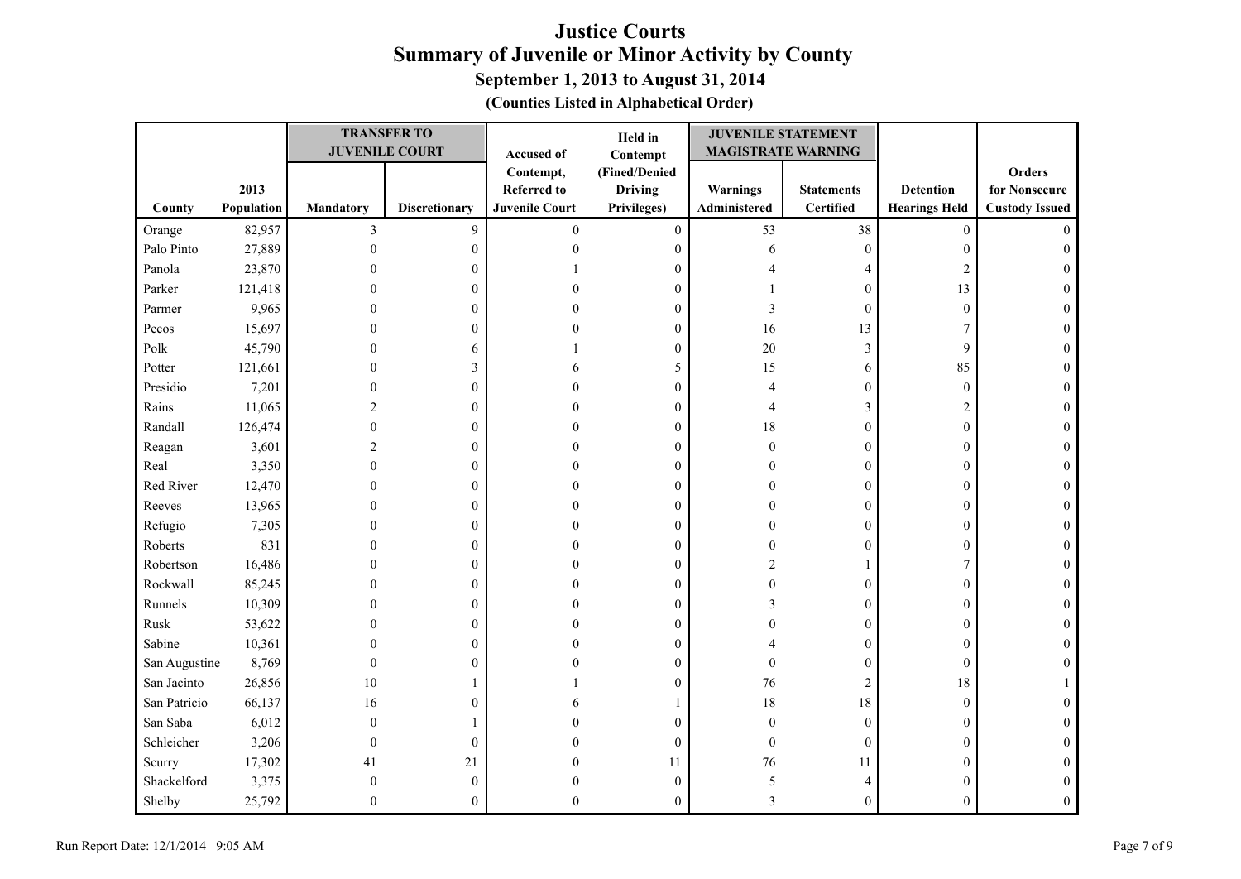| (Counties Listed in Alphabetical Order) |  |  |  |  |
|-----------------------------------------|--|--|--|--|
|-----------------------------------------|--|--|--|--|

|               |            |                  | <b>TRANSFER TO</b>    |                       | Held in          | <b>JUVENILE STATEMENT</b> |                   |                      |                       |
|---------------|------------|------------------|-----------------------|-----------------------|------------------|---------------------------|-------------------|----------------------|-----------------------|
|               |            |                  | <b>JUVENILE COURT</b> | Accused of            | Contempt         | <b>MAGISTRATE WARNING</b> |                   |                      |                       |
|               |            |                  |                       | Contempt,             | (Fined/Denied    |                           |                   |                      | Orders                |
|               | 2013       |                  |                       | <b>Referred to</b>    | <b>Driving</b>   | Warnings                  | <b>Statements</b> | <b>Detention</b>     | for Nonsecure         |
| County        | Population | <b>Mandatory</b> | <b>Discretionary</b>  | <b>Juvenile Court</b> | Privileges)      | Administered              | <b>Certified</b>  | <b>Hearings Held</b> | <b>Custody Issued</b> |
| Orange        | 82,957     | $\mathfrak{Z}$   | 9                     | $\theta$              | $\boldsymbol{0}$ | 53                        | 38                | $\boldsymbol{0}$     | $\Omega$              |
| Palo Pinto    | 27,889     | $\mathbf{0}$     | $\mathbf{0}$          | $\mathbf{0}$          | $\boldsymbol{0}$ | 6                         | $\boldsymbol{0}$  | $\boldsymbol{0}$     | $\Omega$              |
| Panola        | 23,870     | 0                | $\overline{0}$        |                       | $\mathbf{0}$     |                           | 4                 | $\overline{2}$       |                       |
| Parker        | 121,418    | 0                | 0                     | 0                     | $\mathbf{0}$     |                           | $\boldsymbol{0}$  | 13                   | 0                     |
| Parmer        | 9,965      | 0                | $\overline{0}$        | $\overline{0}$        | $\mathbf{0}$     | 3                         | $\boldsymbol{0}$  | $\boldsymbol{0}$     |                       |
| Pecos         | 15,697     | 0                | 0                     | $\overline{0}$        | $\boldsymbol{0}$ | 16                        | 13                | 7                    | 0                     |
| Polk          | 45,790     | 0                | 6                     |                       | $\mathbf{0}$     | 20                        | 3                 | 9                    | 0                     |
| Potter        | 121,661    | 0                | 3                     | 6                     | 5                | 15                        | 6                 | 85                   | $\Omega$              |
| Presidio      | 7,201      | 0                | 0                     | $\theta$              | $\mathbf{0}$     | 4                         | $\boldsymbol{0}$  | $\mathbf{0}$         | $\theta$              |
| Rains         | 11,065     | $\overline{c}$   | 0                     | $\boldsymbol{0}$      | $\boldsymbol{0}$ |                           | $\mathfrak{Z}$    | $\overline{c}$       |                       |
| Randall       | 126,474    | 0                | 0                     | $\boldsymbol{0}$      | $\boldsymbol{0}$ | 18                        | $\boldsymbol{0}$  | $\boldsymbol{0}$     | 0                     |
| Reagan        | 3,601      |                  | $\mathbf{0}$          | $\theta$              | $\mathbf{0}$     | $\mathbf{0}$              | $\boldsymbol{0}$  | $\boldsymbol{0}$     | 0                     |
| Real          | 3,350      | O                | 0                     | $\Omega$              | 0                | $\Omega$                  | $\boldsymbol{0}$  | $\mathbf{0}$         |                       |
| Red River     | 12,470     | O                | 0                     | $\theta$              | $\theta$         | 0                         | $\boldsymbol{0}$  | $\boldsymbol{0}$     | 0                     |
| Reeves        | 13,965     | $\theta$         | 0                     | $\theta$              | $\mathbf{0}$     |                           | $\boldsymbol{0}$  | $\boldsymbol{0}$     | 0                     |
| Refugio       | 7,305      | $\theta$         | 0                     | $\boldsymbol{0}$      | $\mathbf{0}$     |                           | $\boldsymbol{0}$  | $\boldsymbol{0}$     |                       |
| Roberts       | 831        | 0                | 0                     | $\boldsymbol{0}$      | $\mathbf{0}$     |                           | $\boldsymbol{0}$  | $\boldsymbol{0}$     |                       |
| Robertson     | 16,486     | 0                | $\theta$              | $\overline{0}$        | $\mathbf{0}$     | 2                         | $\mathbf{1}$      | $\tau$               |                       |
| Rockwall      | 85,245     | 0                | $\mathbf{0}$          | $\theta$              | $\mathbf{0}$     |                           | $\boldsymbol{0}$  | $\boldsymbol{0}$     | 0                     |
| Runnels       | 10,309     | 0                | 0                     | $\theta$              | $\overline{0}$   |                           | $\boldsymbol{0}$  | $\boldsymbol{0}$     | 0                     |
| Rusk          | 53,622     | 0                | 0                     | 0                     | $\mathbf{0}$     |                           | $\boldsymbol{0}$  | $\boldsymbol{0}$     | $\Omega$              |
| Sabine        | 10,361     | 0                | 0                     | $\theta$              | $\mathbf{0}$     |                           | $\boldsymbol{0}$  | $\mathbf{0}$         | $\Omega$              |
| San Augustine | 8,769      | $\theta$         | 0                     | 0                     | 0                | $\theta$                  | $\boldsymbol{0}$  | $\boldsymbol{0}$     |                       |
| San Jacinto   | 26,856     | 10               |                       |                       | $\mathbf{0}$     | 76                        | $\sqrt{2}$        | 18                   |                       |
| San Patricio  | 66,137     | 16               | 0                     | 6                     |                  | 18                        | $18\,$            | $\boldsymbol{0}$     |                       |
| San Saba      | 6,012      | $\Omega$         |                       | 0                     | $\mathbf{0}$     | $\theta$                  | $\boldsymbol{0}$  | $\mathbf{0}$         | 0                     |
| Schleicher    | 3,206      | $\theta$         | $\theta$              | 0                     | $\boldsymbol{0}$ | $\boldsymbol{0}$          | $\boldsymbol{0}$  | $\boldsymbol{0}$     |                       |
| Scurry        | 17,302     | 41               | 21                    | $\theta$              | 11               | 76                        | 11                | $\boldsymbol{0}$     | 0                     |
| Shackelford   | 3,375      | $\mathbf{0}$     | $\mathbf{0}$          | $\Omega$              | $\mathbf{0}$     | 5                         | $\overline{4}$    | $\boldsymbol{0}$     |                       |
| Shelby        | 25,792     | $\theta$         | $\theta$              | $\Omega$              | $\mathbf{0}$     | 3                         | $\overline{0}$    | $\theta$             |                       |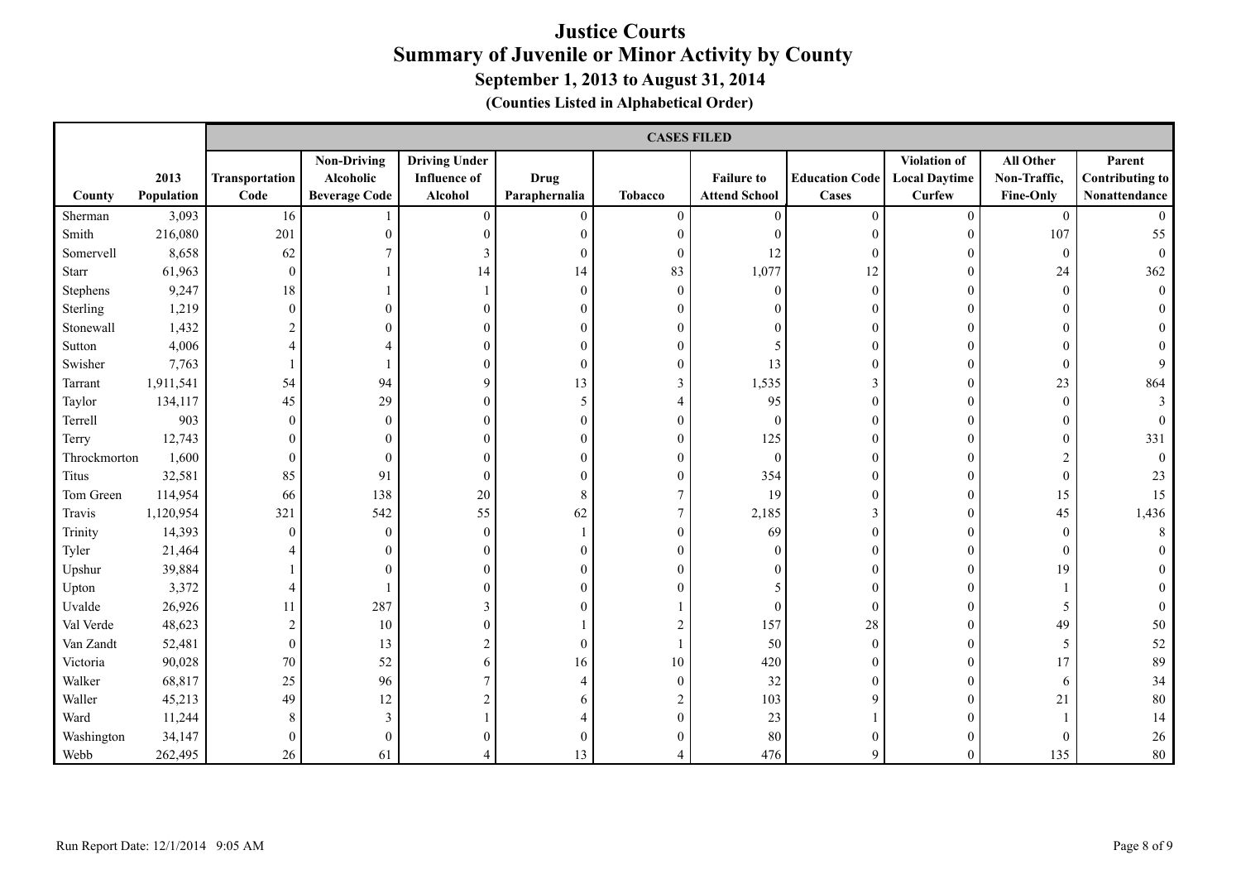|              |                    |                        | <b>CASES FILED</b>                                      |                                                        |                              |                |                                           |                                       |                                                |                                               |                                                   |
|--------------|--------------------|------------------------|---------------------------------------------------------|--------------------------------------------------------|------------------------------|----------------|-------------------------------------------|---------------------------------------|------------------------------------------------|-----------------------------------------------|---------------------------------------------------|
| County       | 2013<br>Population | Transportation<br>Code | <b>Non-Driving</b><br>Alcoholic<br><b>Beverage Code</b> | <b>Driving Under</b><br><b>Influence of</b><br>Alcohol | <b>Drug</b><br>Paraphernalia | <b>Tobacco</b> | <b>Failure to</b><br><b>Attend School</b> | <b>Education Code</b><br><b>Cases</b> | Violation of<br><b>Local Daytime</b><br>Curfew | All Other<br>Non-Traffic,<br><b>Fine-Only</b> | Parent<br><b>Contributing to</b><br>Nonattendance |
| Sherman      | 3,093              | 16                     |                                                         | $\overline{0}$                                         | $\theta$                     | $\Omega$       | $\theta$                                  | $\Omega$                              | $\theta$                                       | $\mathbf{0}$                                  |                                                   |
| Smith        | 216,080            | 201                    | $\theta$                                                | $\theta$                                               | $\Omega$                     | $\Omega$       | $\Omega$                                  | $\Omega$                              | $\Omega$                                       | 107                                           | 55                                                |
| Somervell    | 8,658              | 62                     |                                                         | 3                                                      | $\Omega$                     | $\Omega$       | 12                                        | $\Omega$                              |                                                | $\mathbf{0}$                                  |                                                   |
| Starr        | 61,963             | $\boldsymbol{0}$       |                                                         | 14                                                     | 14                           | 83             | 1,077                                     | 12                                    | $\Omega$                                       | 24                                            | 362                                               |
| Stephens     | 9,247              | 18                     |                                                         |                                                        | $\Omega$                     | $\theta$       | $\theta$                                  | $\theta$                              | $\Omega$                                       | $\mathbf{0}$                                  | $\theta$                                          |
| Sterling     | 1,219              | $\boldsymbol{0}$       | $\Omega$                                                | $\theta$                                               |                              | $\Omega$       |                                           | $\theta$                              | $\Omega$                                       | 0                                             |                                                   |
| Stonewall    | 1,432              | $\overline{c}$         |                                                         | $\theta$                                               |                              | $\theta$       |                                           | 0                                     |                                                | 0                                             |                                                   |
| Sutton       | 4,006              | 4                      |                                                         | 0                                                      |                              | $\theta$       |                                           |                                       | $\Omega$                                       | 0                                             |                                                   |
| Swisher      | 7,763              |                        |                                                         | $\Omega$                                               | $\Omega$                     | $\theta$       | 13                                        |                                       |                                                | $\theta$                                      |                                                   |
| Tarrant      | 1,911,541          | 54                     | 94                                                      | 9                                                      | 13                           | 3              | 1,535                                     |                                       | $\Omega$                                       | 23                                            | 864                                               |
| Taylor       | 134,117            | 45                     | 29                                                      | 0                                                      | 5                            |                | 95                                        | 0                                     |                                                | $\theta$                                      |                                                   |
| Terrell      | 903                | $\boldsymbol{0}$       | $\boldsymbol{0}$                                        | $\overline{0}$                                         | $\Omega$                     | $\theta$       | $\boldsymbol{0}$                          | $\theta$                              |                                                | $\overline{0}$                                |                                                   |
| Terry        | 12,743             | $\overline{0}$         | $\mathbf{0}$                                            | $\theta$                                               |                              | $\theta$       | 125                                       | $\theta$                              |                                                | $\theta$                                      | 331                                               |
| Throckmorton | 1,600              | $\overline{0}$         | $\mathbf{0}$                                            | 0                                                      |                              | $\Omega$       | $\mathbf{0}$                              | 0                                     |                                                | 2                                             |                                                   |
| Titus        | 32,581             | 85                     | 91                                                      | $\overline{0}$                                         |                              | $\theta$       | 354                                       |                                       |                                                | $\mathbf{0}$                                  | 23                                                |
| Tom Green    | 114,954            | 66                     | 138                                                     | $20\,$                                                 | 8                            | 7              | 19                                        | 0                                     |                                                | 15                                            | 15                                                |
| Travis       | 1,120,954          | 321                    | 542                                                     | 55                                                     | 62                           | $\overline{7}$ | 2,185                                     | 3                                     | $\Omega$                                       | 45                                            | 1,436                                             |
| Trinity      | 14,393             | $\mathbf{0}$           | $\mathbf{0}$                                            | $\boldsymbol{0}$                                       |                              | $\theta$       | 69                                        | 0                                     | $\Omega$                                       | $\mathbf{0}$                                  | 8                                                 |
| Tyler        | 21,464             | 4                      | $\theta$                                                | $\overline{0}$                                         |                              | $\theta$       | $\Omega$                                  | 0                                     |                                                | $\mathbf{0}$                                  |                                                   |
| Upshur       | 39,884             |                        | $\Omega$                                                | $\overline{0}$                                         |                              | $\theta$       |                                           | 0                                     | $\Omega$                                       | 19                                            |                                                   |
| Upton        | 3,372              | 4                      |                                                         | $\theta$                                               |                              |                |                                           | 0                                     |                                                |                                               |                                                   |
| Uvalde       | 26,926             | 11                     | 287                                                     | 3                                                      |                              |                | $\theta$                                  | $\Omega$                              | $\Omega$                                       | 5                                             |                                                   |
| Val Verde    | 48,623             | $\overline{2}$         | 10                                                      | $\Omega$                                               |                              |                | 157                                       | $28\,$                                | $\Omega$                                       | 49                                            | 50                                                |
| Van Zandt    | 52,481             | $\mathbf{0}$           | 13                                                      | $\mathfrak{D}$                                         | $\Omega$                     |                | 50                                        | $\Omega$                              | $\Omega$                                       | 5                                             | 52                                                |
| Victoria     | 90,028             | $70\,$                 | 52                                                      | 6                                                      | 16                           | 10             | 420                                       | 0                                     |                                                | 17                                            | 89                                                |
| Walker       | 68,817             | 25                     | 96                                                      |                                                        |                              | $\theta$       | $32\,$                                    | $\Omega$                              |                                                | 6                                             | 34                                                |
| Waller       | 45,213             | 49                     | 12                                                      | $\mathfrak{D}$                                         |                              |                | 103                                       | Q                                     |                                                | 21                                            | 80                                                |
| Ward         | 11,244             | 8                      | 3                                                       |                                                        |                              | $\Omega$       | 23                                        |                                       |                                                |                                               | 14                                                |
| Washington   | 34,147             | $\boldsymbol{0}$       | $\boldsymbol{0}$                                        | 0                                                      |                              | $\Omega$       | 80                                        |                                       |                                                | $\theta$                                      | 26                                                |
| Webb         | 262,495            | 26                     | 61                                                      |                                                        | 13                           |                | 476                                       | Q                                     | $\Omega$                                       | 135                                           | 80                                                |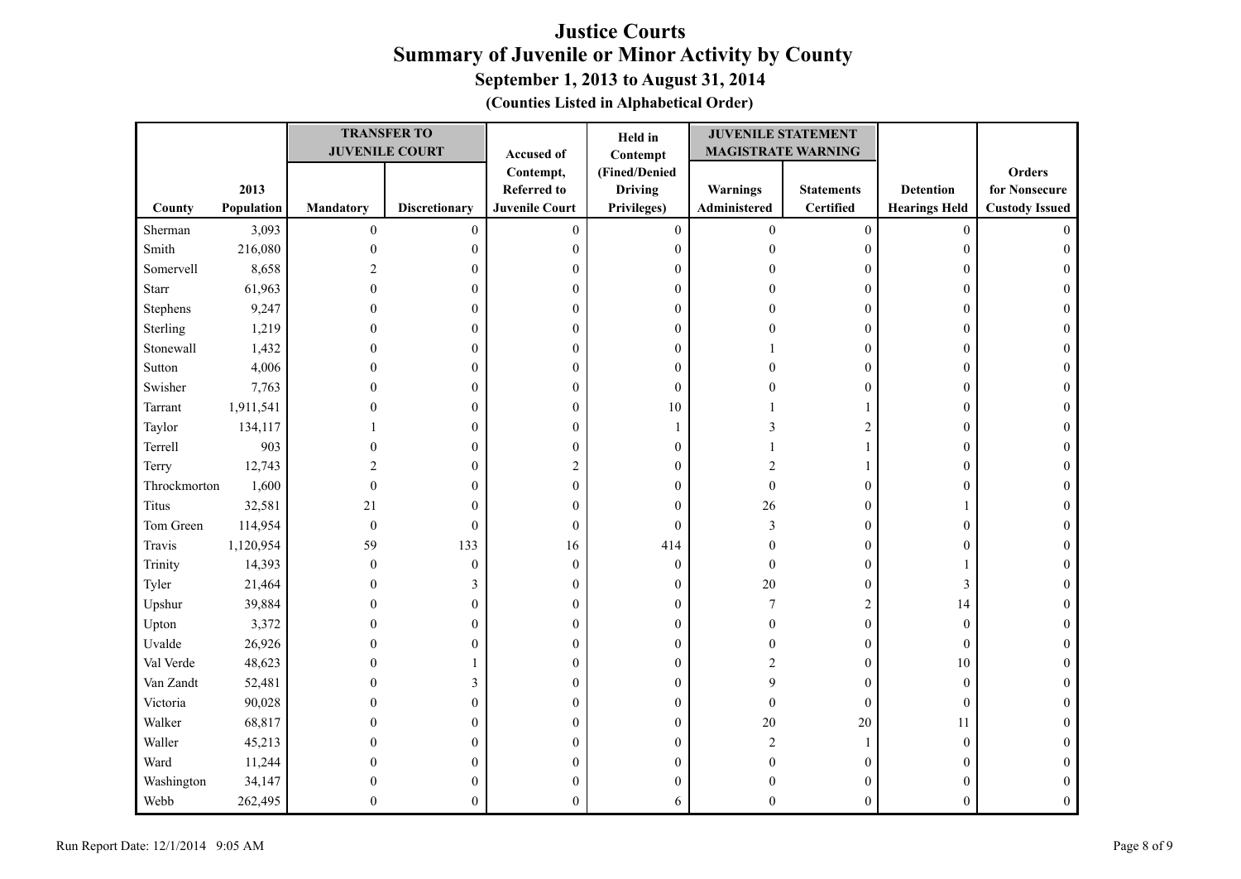| (Counties Listed in Alphabetical Order) |  |  |  |  |
|-----------------------------------------|--|--|--|--|
|-----------------------------------------|--|--|--|--|

|              |            |                  | <b>TRANSFER TO</b>    |                       | Held in          | <b>JUVENILE STATEMENT</b> |                   |                      |                       |
|--------------|------------|------------------|-----------------------|-----------------------|------------------|---------------------------|-------------------|----------------------|-----------------------|
|              |            |                  | <b>JUVENILE COURT</b> | Accused of            | Contempt         | <b>MAGISTRATE WARNING</b> |                   |                      |                       |
|              |            |                  |                       | Contempt,             | (Fined/Denied    |                           |                   |                      | <b>Orders</b>         |
|              | 2013       |                  |                       | <b>Referred to</b>    | <b>Driving</b>   | Warnings                  | <b>Statements</b> | <b>Detention</b>     | for Nonsecure         |
| County       | Population | <b>Mandatory</b> | <b>Discretionary</b>  | <b>Juvenile Court</b> | Privileges)      | Administered              | <b>Certified</b>  | <b>Hearings Held</b> | <b>Custody Issued</b> |
| Sherman      | 3,093      | $\boldsymbol{0}$ | $\boldsymbol{0}$      | $\boldsymbol{0}$      | $\boldsymbol{0}$ | $\boldsymbol{0}$          | $\boldsymbol{0}$  | $\boldsymbol{0}$     | $\Omega$              |
| Smith        | 216,080    | $\mathbf{0}$     | $\overline{0}$        | $\mathbf{0}$          | $\boldsymbol{0}$ | $\theta$                  | $\boldsymbol{0}$  | $\boldsymbol{0}$     | $\theta$              |
| Somervell    | 8,658      | $\overline{c}$   | $\mathbf{0}$          | $\mathbf{0}$          | $\mathbf{0}$     |                           | $\boldsymbol{0}$  | $\boldsymbol{0}$     |                       |
| Starr        | 61,963     | $\theta$         | $\Omega$              | $\overline{0}$        | $\mathbf{0}$     |                           | $\boldsymbol{0}$  | $\boldsymbol{0}$     | 0                     |
| Stephens     | 9,247      | 0                | $\mathbf{0}$          | $\boldsymbol{0}$      | $\mathbf{0}$     |                           | $\boldsymbol{0}$  | $\boldsymbol{0}$     | 0                     |
| Sterling     | 1,219      | 0                | $\Omega$              | $\overline{0}$        | $\mathbf{0}$     |                           | $\boldsymbol{0}$  | $\boldsymbol{0}$     | $\Omega$              |
| Stonewall    | 1,432      | 0                | 0                     | $\theta$              | 0                |                           | $\boldsymbol{0}$  | $\mathbf{0}$         | 0                     |
| Sutton       | 4,006      | $\theta$         | $\theta$              | $\theta$              | $\boldsymbol{0}$ |                           | $\boldsymbol{0}$  | $\boldsymbol{0}$     | $\Omega$              |
| Swisher      | 7,763      | 0                | 0                     | $\boldsymbol{0}$      | $\mathbf{0}$     |                           | $\boldsymbol{0}$  | $\boldsymbol{0}$     | $\Omega$              |
| Tarrant      | 1,911,541  |                  | $\overline{0}$        | $\mathbf{0}$          | 10               |                           | $\mathbf{1}$      | $\boldsymbol{0}$     |                       |
| Taylor       | 134,117    |                  | $\theta$              | $\overline{0}$        |                  | 3                         | $\overline{c}$    | $\boldsymbol{0}$     | 0                     |
| Terrell      | 903        | 0                | $\boldsymbol{0}$      | $\boldsymbol{0}$      | $\boldsymbol{0}$ |                           | 1                 | $\boldsymbol{0}$     | 0                     |
| Terry        | 12,743     | 2                | 0                     | $\overline{c}$        | $\mathbf{0}$     | 2                         | 1                 | $\boldsymbol{0}$     |                       |
| Throckmorton | 1,600      | $\theta$         | $\theta$              | $\mathbf{0}$          | $\mathbf{0}$     | $\mathbf{0}$              | $\boldsymbol{0}$  | $\boldsymbol{0}$     | 0                     |
| <b>Titus</b> | 32,581     | 21               | $\theta$              | $\theta$              | $\mathbf{0}$     | 26                        | $\boldsymbol{0}$  | -1                   | 0                     |
| Tom Green    | 114,954    | $\boldsymbol{0}$ | $\boldsymbol{0}$      | $\theta$              | $\boldsymbol{0}$ | 3                         | $\boldsymbol{0}$  | $\boldsymbol{0}$     |                       |
| Travis       | 1,120,954  | 59               | 133                   | 16                    | 414              | $\boldsymbol{0}$          | $\boldsymbol{0}$  | $\boldsymbol{0}$     |                       |
| Trinity      | 14,393     | $\mathbf{0}$     | $\overline{0}$        | $\overline{0}$        | $\mathbf{0}$     | $\mathbf{0}$              | $\boldsymbol{0}$  |                      |                       |
| Tyler        | 21,464     | 0                | 3                     | $\overline{0}$        | $\mathbf{0}$     | 20                        | $\boldsymbol{0}$  | 3                    | 0                     |
| Upshur       | 39,884     | $\theta$         | $\mathbf{0}$          | $\overline{0}$        | $\boldsymbol{0}$ | 7                         | $\overline{c}$    | 14                   | 0                     |
| Upton        | 3,372      | $\theta$         | $\theta$              | $\theta$              | $\mathbf{0}$     | $\Omega$                  | $\boldsymbol{0}$  | $\boldsymbol{0}$     | $\theta$              |
| Uvalde       | 26,926     | $\theta$         | 0                     | $\theta$              | $\mathbf{0}$     | $\Omega$                  | $\boldsymbol{0}$  | $\mathbf{0}$         | $\Omega$              |
| Val Verde    | 48,623     | 0                |                       | $\boldsymbol{0}$      | 0                | 2                         | $\boldsymbol{0}$  | 10                   |                       |
| Van Zandt    | 52,481     | 0                | 3                     | $\boldsymbol{0}$      | $\boldsymbol{0}$ | 9                         | $\boldsymbol{0}$  | $\boldsymbol{0}$     | $\Omega$              |
| Victoria     | 90,028     | 0                | $\mathbf{0}$          | $\overline{0}$        | $\boldsymbol{0}$ | $\mathbf{0}$              | $\boldsymbol{0}$  | $\boldsymbol{0}$     |                       |
| Walker       | 68,817     | 0                | $\Omega$              | $\mathbf{0}$          | $\mathbf{0}$     | 20                        | 20                | 11                   | 0                     |
| Waller       | 45,213     | 0                | 0                     | $\theta$              | $\mathbf{0}$     | $\overline{c}$            | 1                 | $\mathbf{0}$         |                       |
| Ward         | 11,244     | $\theta$         | $\theta$              | $\theta$              | $\mathbf{0}$     | $\theta$                  | $\boldsymbol{0}$  | $\boldsymbol{0}$     | 0                     |
| Washington   | 34,147     | $\theta$         | 0                     | $\Omega$              | $\overline{0}$   |                           | $\boldsymbol{0}$  | $\boldsymbol{0}$     |                       |
| Webb         | 262,495    | 0                | 0                     | $\Omega$              | 6                | $\Omega$                  | $\overline{0}$    | $\mathbf{0}$         |                       |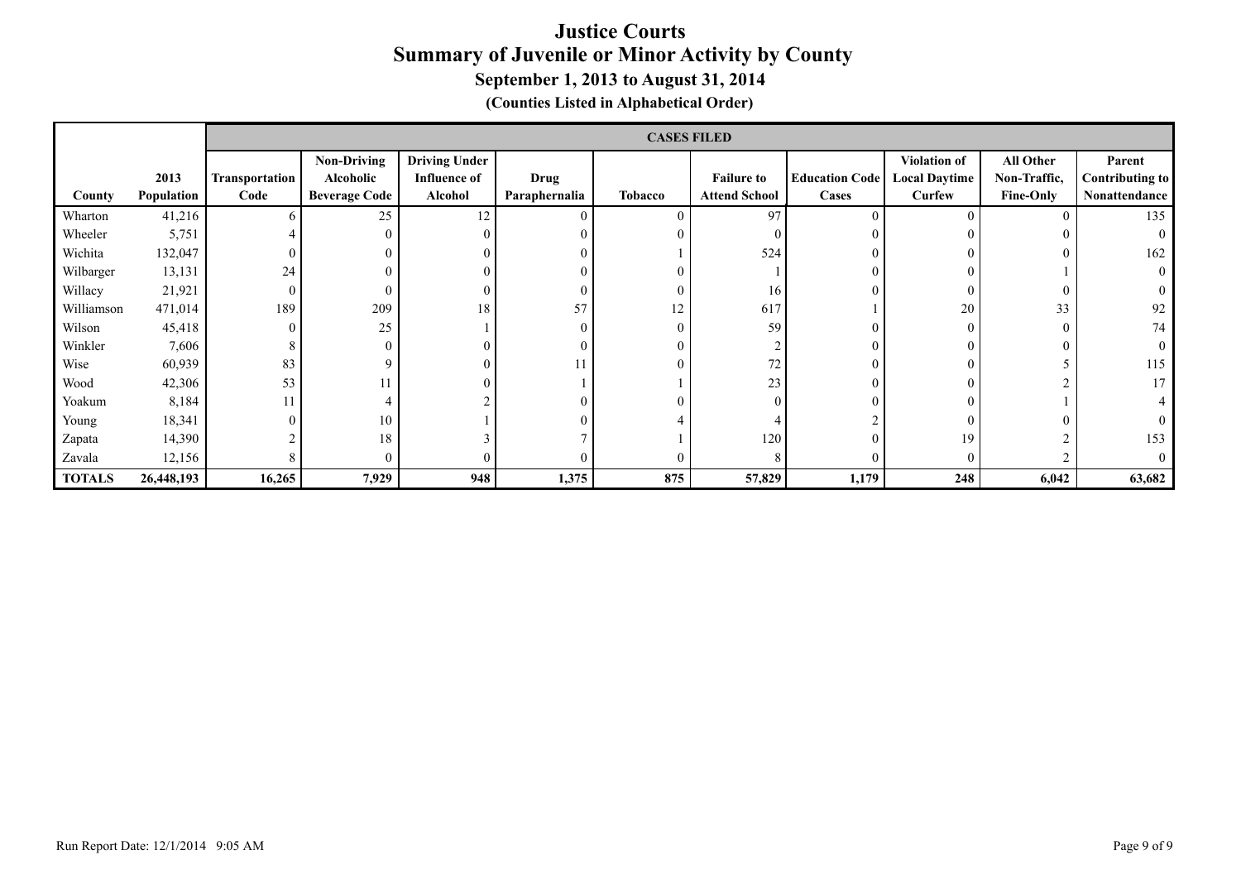|               |            | <b>CASES FILED</b> |                      |                      |               |          |                      |                       |                      |                  |                 |
|---------------|------------|--------------------|----------------------|----------------------|---------------|----------|----------------------|-----------------------|----------------------|------------------|-----------------|
|               |            |                    | <b>Non-Driving</b>   | <b>Driving Under</b> |               |          |                      |                       | <b>Violation of</b>  | All Other        | Parent          |
|               | 2013       | Transportation     | Alcoholic            | <b>Influence of</b>  | <b>Drug</b>   |          | <b>Failure to</b>    | <b>Education Code</b> | <b>Local Daytime</b> | Non-Traffic,     | Contributing to |
| County        | Population | Code               | <b>Beverage Code</b> | Alcohol              | Paraphernalia | Tobacco  | <b>Attend School</b> | Cases                 | Curfew               | <b>Fine-Only</b> | Nonattendance   |
| Wharton       | 41,216     | 6.                 | 25                   | 12                   | $\theta$      | 0        | 97                   | $\Omega$              | $\Omega$             | 0                | 135             |
| Wheeler       | 5,751      |                    | $\theta$             |                      | $\Omega$      | $\theta$ |                      |                       | $\Omega$             |                  | $\Omega$        |
| Wichita       | 132,047    | $\mathbf{0}$       | C                    |                      | 0             |          | 524                  |                       |                      |                  | 162             |
| Wilbarger     | 13,131     | 24                 | 0                    |                      |               | $\theta$ |                      |                       |                      |                  | $\Omega$        |
| Willacy       | 21,921     | $\mathbf{0}$       | $\theta$             |                      | $\Omega$      | $\theta$ | 16                   |                       | $\Omega$             |                  |                 |
| Williamson    | 471,014    | 189                | 209                  | 18                   | 57            | 12       | 617                  |                       | 20                   | 33               | 92              |
| Wilson        | 45,418     | $\mathbf{0}$       | 25                   |                      | $\theta$      | $\theta$ | 59                   |                       | $\Omega$             | 0                | 74              |
| Winkler       | 7,606      | 8                  | $\theta$             |                      | 0             | $\theta$ |                      |                       | $\theta$             |                  | $\theta$        |
| Wise          | 60,939     | 83                 | 9                    |                      | 11            | $\theta$ | 72                   |                       | $\sqrt{ }$           |                  | 115             |
| Wood          | 42,306     | 53                 | 11                   |                      |               |          | 23                   |                       |                      |                  | 17              |
| Yoakum        | 8,184      | 11                 |                      |                      | 0             | $\theta$ |                      |                       | $\Omega$             |                  |                 |
| Young         | 18,341     | $\mathbf{0}$       | 10                   |                      | 0             |          |                      |                       | $\Omega$             |                  |                 |
| Zapata        | 14,390     |                    | 18                   |                      |               |          | 120                  |                       | 19                   |                  | 153             |
| Zavala        | 12,156     | 8                  | $\theta$             |                      | 0             | $\theta$ |                      |                       | $\Omega$             |                  | $\Omega$        |
| <b>TOTALS</b> | 26,448,193 | 16,265             | 7,929                | 948                  | 1,375         | 875      | 57,829               | 1,179                 | 248                  | 6,042            | 63,682          |